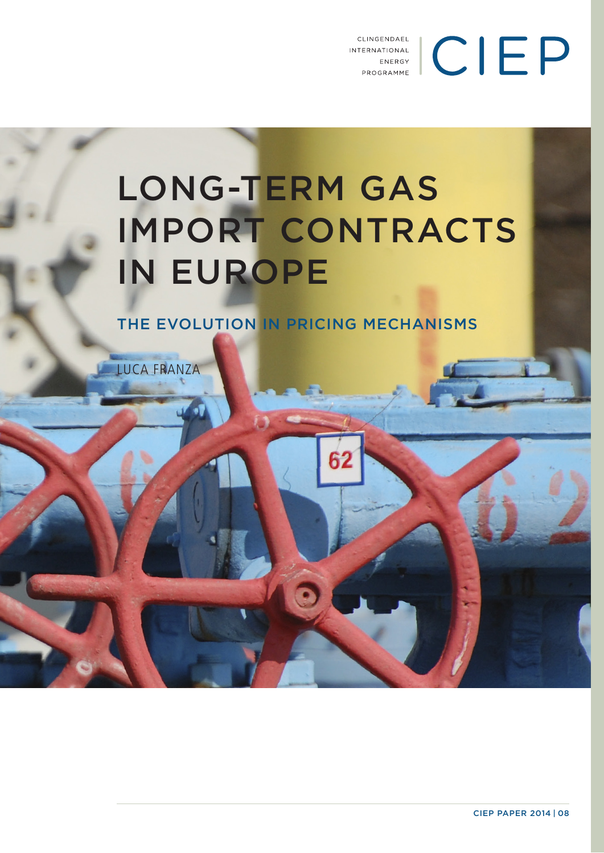INTERNATIONAL<br>
ENERGY<br>
PROGRAMME CLINGENDAEL

## LONG-TERM GAS IMPORT CONTRACTS IN EUROPE

THE EVOLUTION IN PRICING MECHANISMS

LUCA FRANZA

CIEP PAPER 2014 | 08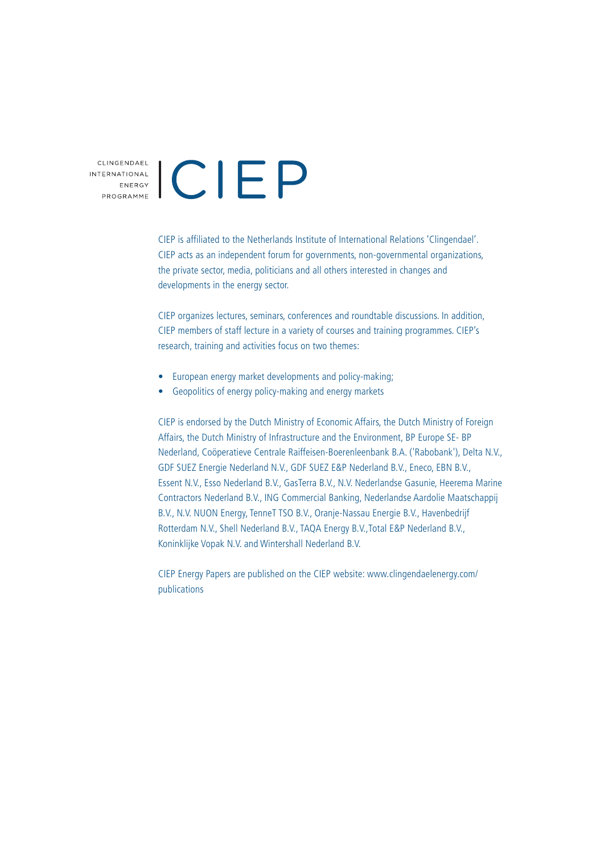# CLINGENDAEL<br>
ENERGY<br>
PROGRAMME

CIEP is affiliated to the Netherlands Institute of International Relations 'Clingendael'. CIEP acts as an independent forum for governments, non-governmental organizations, the private sector, media, politicians and all others interested in changes and developments in the energy sector.

CIEP organizes lectures, seminars, conferences and roundtable discussions. In addition, CIEP members of staff lecture in a variety of courses and training programmes. CIEP's research, training and activities focus on two themes:

- European energy market developments and policy-making;
- Geopolitics of energy policy-making and energy markets

CIEP is endorsed by the Dutch Ministry of Economic Affairs, the Dutch Ministry of Foreign Affairs, the Dutch Ministry of Infrastructure and the Environment, BP Europe SE- BP Nederland, Coöperatieve Centrale Raiffeisen-Boerenleenbank B.A. ('Rabobank'), Delta N.V., GDF SUEZ Energie Nederland N.V., GDF SUEZ E&P Nederland B.V., Eneco, EBN B.V., Essent N.V., Esso Nederland B.V., GasTerra B.V., N.V. Nederlandse Gasunie, Heerema Marine Contractors Nederland B.V., ING Commercial Banking, Nederlandse Aardolie Maatschappij B.V., N.V. NUON Energy, TenneT TSO B.V., Oranje-Nassau Energie B.V., Havenbedrijf Rotterdam N.V., Shell Nederland B.V., TAQA Energy B.V.,Total E&P Nederland B.V., Koninklijke Vopak N.V. and Wintershall Nederland B.V.

CIEP Energy Papers are published on the CIEP website: www.clingendaelenergy.com/ publications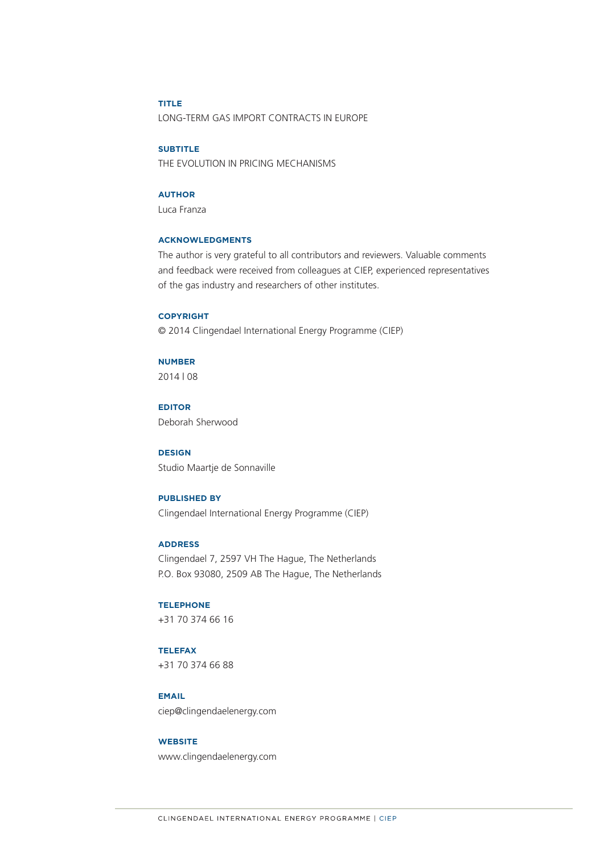#### **TITLE** LONG-TERM GAS IMPORT CONTRACTS IN EUROPE

#### **SUBTITLE**

THE EVOLUTION IN PRICING MECHANISMS

#### **AUTHOR**

Luca Franza

#### **ACKNOWLEDGMENTS**

The author is very grateful to all contributors and reviewers. Valuable comments and feedback were received from colleagues at CIEP, experienced representatives of the gas industry and researchers of other institutes.

#### **COPYRIGHT**

© 2014 Clingendael International Energy Programme (CIEP)

#### **NUMBER**

2014 | 08

**EDITOR** Deborah Sherwood

#### **DESIGN**

Studio Maartje de Sonnaville

#### **PUBLISHED BY**

Clingendael International Energy Programme (CIEP)

#### **ADDRESS**

Clingendael 7, 2597 VH The Hague, The Netherlands P.O. Box 93080, 2509 AB The Hague, The Netherlands

#### **TELEPHONE**

+31 70 374 66 16

#### **TELEFAX**

+31 70 374 66 88

#### **EMAIL** ciep@clingendaelenergy.com

#### **WEBSITE**

www.clingendaelenergy.com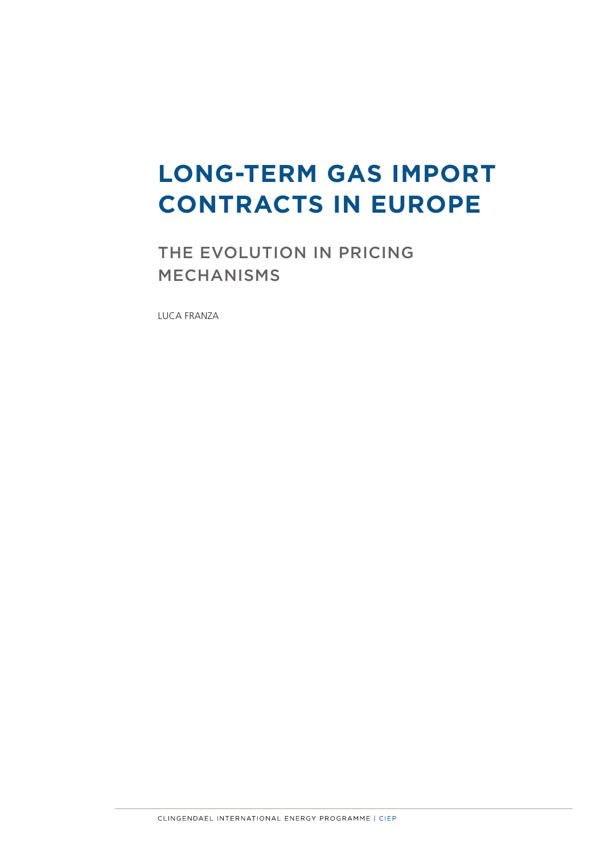### **LONG-TERM GAS IMPORT CONTRACTS IN EUROPE**

THE EVOLUTION IN PRICING MECHANISMS

LUCA FRANZA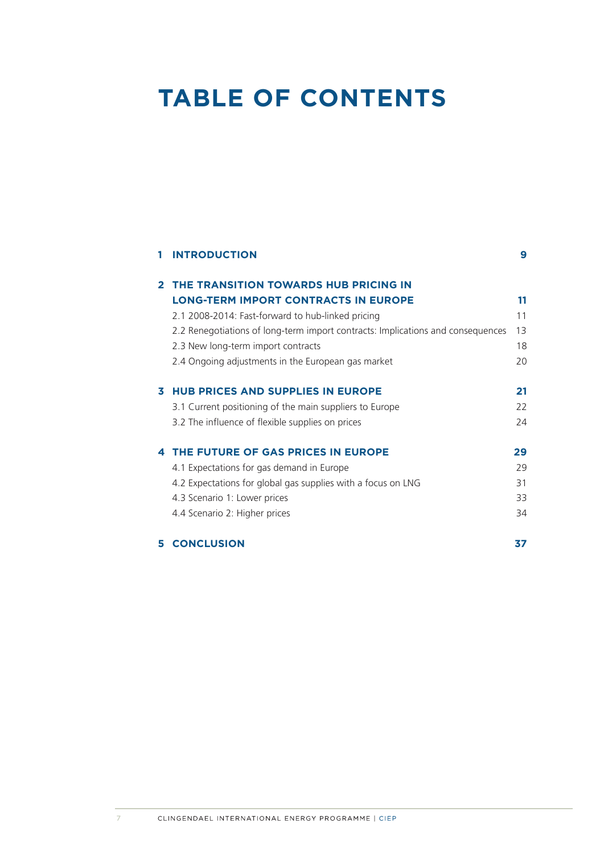### **TABLE OF CONTENTS**

|              | <b>INTRODUCTION</b>                                                             | 9  |
|--------------|---------------------------------------------------------------------------------|----|
| $\mathbf{p}$ | THE TRANSITION TOWARDS HUB PRICING IN                                           |    |
|              | <b>LONG-TERM IMPORT CONTRACTS IN EUROPE</b>                                     | 11 |
|              | 2.1 2008-2014: Fast-forward to hub-linked pricing                               | 11 |
|              | 2.2 Renegotiations of long-term import contracts: Implications and consequences | 13 |
|              | 2.3 New long-term import contracts                                              | 18 |
|              | 2.4 Ongoing adjustments in the European gas market                              | 20 |
| 3.           | <b>HUB PRICES AND SUPPLIES IN EUROPE</b>                                        | 21 |
|              | 3.1 Current positioning of the main suppliers to Europe                         | 22 |
|              | 3.2 The influence of flexible supplies on prices                                | 24 |
| 4            | THE FUTURE OF GAS PRICES IN EUROPE                                              | 29 |
|              | 4.1 Expectations for gas demand in Europe                                       | 29 |
|              | 4.2 Expectations for global gas supplies with a focus on LNG                    | 31 |
|              | 4.3 Scenario 1: Lower prices                                                    | 33 |
|              | 4.4 Scenario 2: Higher prices                                                   | 34 |
| 5.           | <b>CONCLUSION</b>                                                               | 37 |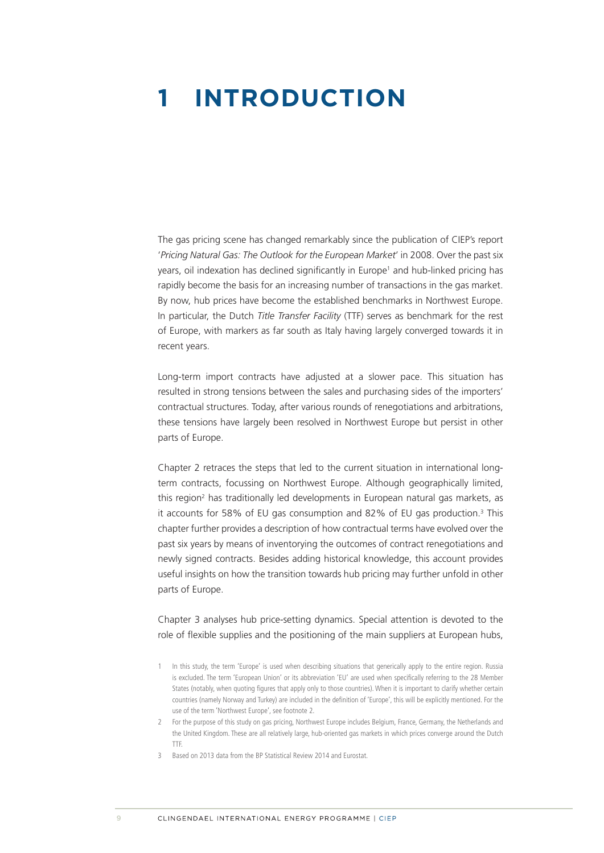### <span id="page-5-0"></span>**1 INTRODUCTION**

The gas pricing scene has changed remarkably since the publication of CIEP's report '*Pricing Natural Gas: The Outlook for the European Market*' in 2008. Over the past six years, oil indexation has declined significantly in Europe<sup>1</sup> and hub-linked pricing has rapidly become the basis for an increasing number of transactions in the gas market. By now, hub prices have become the established benchmarks in Northwest Europe. In particular, the Dutch *Title Transfer Facility* (TTF) serves as benchmark for the rest of Europe, with markers as far south as Italy having largely converged towards it in recent years.

Long-term import contracts have adjusted at a slower pace. This situation has resulted in strong tensions between the sales and purchasing sides of the importers' contractual structures. Today, after various rounds of renegotiations and arbitrations, these tensions have largely been resolved in Northwest Europe but persist in other parts of Europe.

Chapter 2 retraces the steps that led to the current situation in international longterm contracts, focussing on Northwest Europe. Although geographically limited, this region<sup>2</sup> has traditionally led developments in European natural gas markets, as it accounts for 58% of EU gas consumption and 82% of EU gas production.<sup>3</sup> This chapter further provides a description of how contractual terms have evolved over the past six years by means of inventorying the outcomes of contract renegotiations and newly signed contracts. Besides adding historical knowledge, this account provides useful insights on how the transition towards hub pricing may further unfold in other parts of Europe.

Chapter 3 analyses hub price-setting dynamics. Special attention is devoted to the role of flexible supplies and the positioning of the main suppliers at European hubs,

3 Based on 2013 data from the BP Statistical Review 2014 and Eurostat.

<sup>1</sup> In this study, the term 'Europe' is used when describing situations that generically apply to the entire region. Russia is excluded. The term 'European Union' or its abbreviation 'EU' are used when specifically referring to the 28 Member States (notably, when quoting figures that apply only to those countries). When it is important to clarify whether certain countries (namely Norway and Turkey) are included in the definition of 'Europe', this will be explicitly mentioned. For the use of the term 'Northwest Europe', see footnote 2.

<sup>2</sup> For the purpose of this study on gas pricing, Northwest Europe includes Belgium, France, Germany, the Netherlands and the United Kingdom. These are all relatively large, hub-oriented gas markets in which prices converge around the Dutch TTF.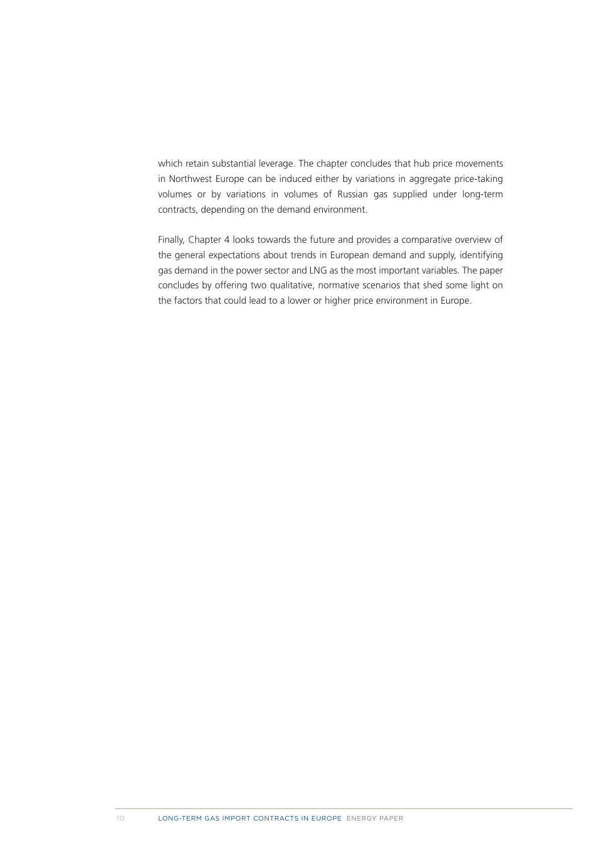which retain substantial leverage. The chapter concludes that hub price movements in Northwest Europe can be induced either by variations in aggregate price-taking volumes or by variations in volumes of Russian gas supplied under long-term contracts, depending on the demand environment.

Finally, Chapter 4 looks towards the future and provides a comparative overview of the general expectations about trends in European demand and supply, identifying gas demand in the power sector and LNG as the most important variables. The paper concludes by offering two qualitative, normative scenarios that shed some light on the factors that could lead to a lower or higher price environment in Europe.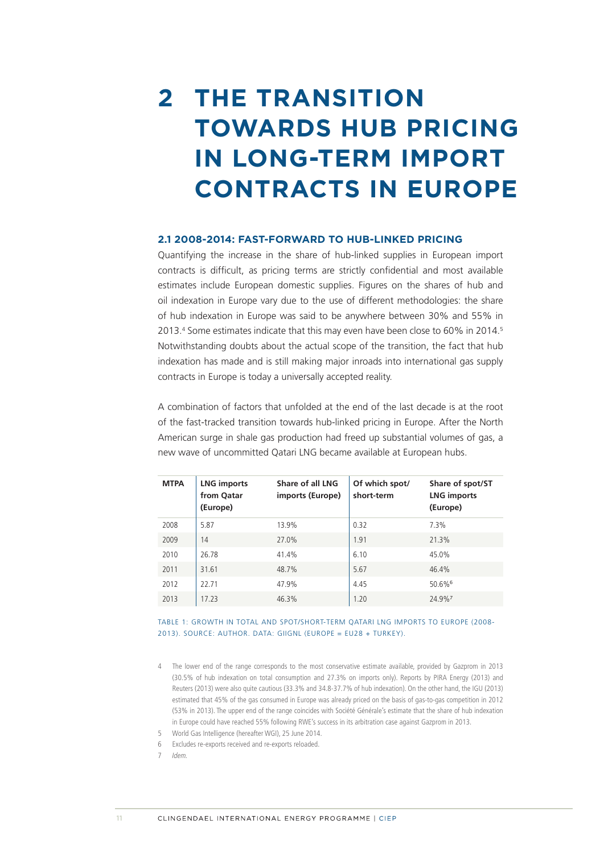### <span id="page-7-0"></span>**2 THE TRANSITION TOWARDS HUB PRICING IN LONG-TERM IMPORT CONTRACTS IN EUROPE**

#### **2.1 2008-2014: FAST-FORWARD TO HUB-LINKED PRICING**

Quantifying the increase in the share of hub-linked supplies in European import contracts is difficult, as pricing terms are strictly confidential and most available estimates include European domestic supplies. Figures on the shares of hub and oil indexation in Europe vary due to the use of different methodologies: the share of hub indexation in Europe was said to be anywhere between 30% and 55% in 2013.<sup>4</sup> Some estimates indicate that this may even have been close to 60% in 2014.<sup>5</sup> Notwithstanding doubts about the actual scope of the transition, the fact that hub indexation has made and is still making major inroads into international gas supply contracts in Europe is today a universally accepted reality.

A combination of factors that unfolded at the end of the last decade is at the root of the fast-tracked transition towards hub-linked pricing in Europe. After the North American surge in shale gas production had freed up substantial volumes of gas, a new wave of uncommitted Qatari LNG became available at European hubs.

| <b>MTPA</b> | <b>LNG imports</b><br>from Qatar<br>(Europe) | Share of all LNG<br>imports (Europe) | Of which spot/<br>short-term | Share of spot/ST<br><b>LNG imports</b><br>(Europe) |
|-------------|----------------------------------------------|--------------------------------------|------------------------------|----------------------------------------------------|
| 2008        | 5.87                                         | 13.9%                                | 0.32                         | 7.3%                                               |
| 2009        | 14                                           | 27.0%                                | 1.91                         | 21.3%                                              |
| 2010        | 26.78                                        | 41.4%                                | 6.10                         | 45.0%                                              |
| 2011        | 31.61                                        | 48.7%                                | 5.67                         | 46.4%                                              |
| 2012        | 22.71                                        | 47.9%                                | 4.45                         | 50.6%6                                             |
| 2013        | 17.23                                        | 46.3%                                | 1.20                         | 24.9% <sup>7</sup>                                 |

TABLE 1: GROWTH IN TOTAL AND SPOT/SHORT-TERM QATARI LNG IMPORTS TO EUROPE (2008- 2013). SOURCE: AUTHOR. DATA: GIIGNL (EUROPE = EU28 + TURKEY).

- 4 The lower end of the range corresponds to the most conservative estimate available, provided by Gazprom in 2013 (30.5% of hub indexation on total consumption and 27.3% on imports only). Reports by PIRA Energy (2013) and Reuters (2013) were also quite cautious (33.3% and 34.8-37.7% of hub indexation). On the other hand, the IGU (2013) estimated that 45% of the gas consumed in Europe was already priced on the basis of gas-to-gas competition in 2012 (53% in 2013). The upper end of the range coincides with Société Générale's estimate that the share of hub indexation in Europe could have reached 55% following RWE's success in its arbitration case against Gazprom in 2013.
- 5 World Gas Intelligence (hereafter WGI), 25 June 2014.
- 6 Excludes re-exports received and re-exports reloaded.
- 7 Idem.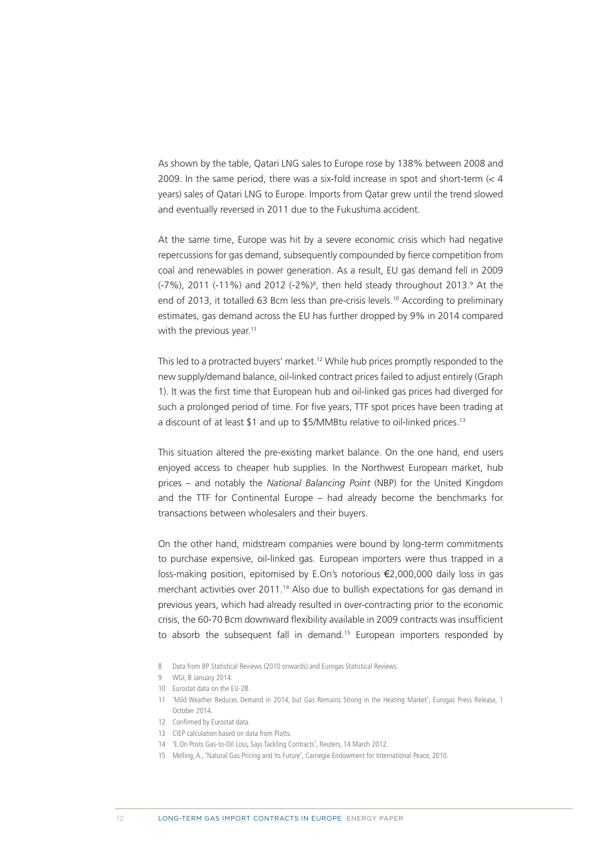As shown by the table, Qatari LNG sales to Europe rose by 138% between 2008 and 2009. In the same period, there was a six-fold increase in spot and short-term  $\left($   $\lt$  4 years) sales of Qatari LNG to Europe. Imports from Qatar grew until the trend slowed and eventually reversed in 2011 due to the Fukushima accident.

At the same time, Europe was hit by a severe economic crisis which had negative repercussions for gas demand, subsequently compounded by fierce competition from coal and renewables in power generation. As a result, EU gas demand fell in 2009 (-7%), 2011 (-11%) and 2012 (-2%)<sup>8</sup>, then held steady throughout 2013.<sup>9</sup> At the end of 2013, it totalled 63 Bcm less than pre-crisis levels.<sup>10</sup> According to preliminary estimates, gas demand across the EU has further dropped by 9% in 2014 compared with the previous year.<sup>11</sup>

This led to a protracted buyers' market.12 While hub prices promptly responded to the new supply/demand balance, oil-linked contract prices failed to adjust entirely (Graph 1). It was the first time that European hub and oil-linked gas prices had diverged for such a prolonged period of time. For five years, TTF spot prices have been trading at a discount of at least \$1 and up to \$5/MMBtu relative to oil-linked prices.13

This situation altered the pre-existing market balance. On the one hand, end users enjoyed access to cheaper hub supplies. In the Northwest European market, hub prices – and notably the *National Balancing Point* (NBP) for the United Kingdom and the TTF for Continental Europe – had already become the benchmarks for transactions between wholesalers and their buyers.

On the other hand, midstream companies were bound by long-term commitments to purchase expensive, oil-linked gas. European importers were thus trapped in a loss-making position, epitomised by E.On's notorious €2,000,000 daily loss in gas merchant activities over 2011.<sup>14</sup> Also due to bullish expectations for gas demand in previous years, which had already resulted in over-contracting prior to the economic crisis, the 60-70 Bcm downward flexibility available in 2009 contracts was insufficient to absorb the subsequent fall in demand.<sup>15</sup> European importers responded by

- 8 Data from BP Statistical Reviews (2010 onwards) and Eurogas Statistical Reviews.
- 9 WGI, 8 January 2014.
- 10 Eurostat data on the EU-28.
- 11 'Mild Weather Reduces Demand in 2014, but Gas Remains Strong in the Heating Market', Eurogas Press Release, 1 October 2014.
- 12 Confirmed by Eurostat data.
- 13 CIEP calculation based on data from Platts.
- 14 'E.On Posts Gas-to-Oil Loss, Says Tackling Contracts', Reuters, 14 March 2012.
- 15 Melling, A., 'Natural Gas Pricing and Its Future', Carnegie Endowment for International Peace, 2010.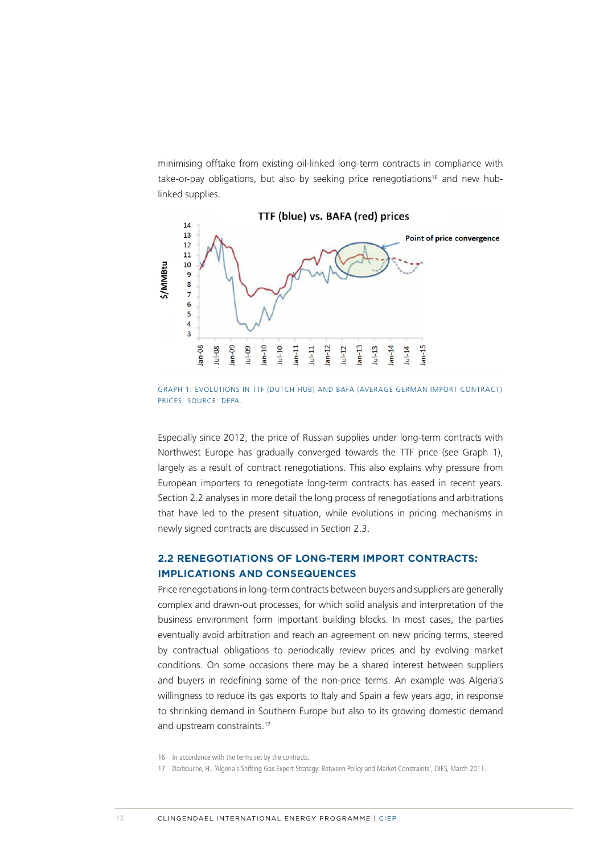<span id="page-9-0"></span>minimising offtake from existing oil-linked long-term contracts in compliance with take-or-pay obligations, but also by seeking price renegotiations<sup>16</sup> and new hublinked supplies.



GRAPH 1: EVOLUTIONS IN TTF (DUTCH HUB) AND BAFA (AVERAGE GERMAN IMPORT CONTRACT) PRICES. SOURCE: DEPA.

Especially since 2012, the price of Russian supplies under long-term contracts with Northwest Europe has gradually converged towards the TTF price (see Graph 1), largely as a result of contract renegotiations. This also explains why pressure from European importers to renegotiate long-term contracts has eased in recent years. Section 2.2 analyses in more detail the long process of renegotiations and arbitrations that have led to the present situation, while evolutions in pricing mechanisms in newly signed contracts are discussed in Section 2.3.

#### **2.2 RENEGOTIATIONS OF LONG-TERM IMPORT CONTRACTS: IMPLICATIONS AND CONSEQUENCES**

Price renegotiations in long-term contracts between buyers and suppliers are generally complex and drawn-out processes, for which solid analysis and interpretation of the business environment form important building blocks. In most cases, the parties eventually avoid arbitration and reach an agreement on new pricing terms, steered by contractual obligations to periodically review prices and by evolving market conditions. On some occasions there may be a shared interest between suppliers and buyers in redefining some of the non-price terms. An example was Algeria's willingness to reduce its gas exports to Italy and Spain a few years ago, in response to shrinking demand in Southern Europe but also to its growing domestic demand and upstream constraints.<sup>17</sup>

<sup>16</sup> In accordance with the terms set by the contracts.

<sup>17</sup> Darbouche, H., 'Algeria's Shifting Gas Export Strategy: Between Policy and Market Constraints', OIES, March 2011.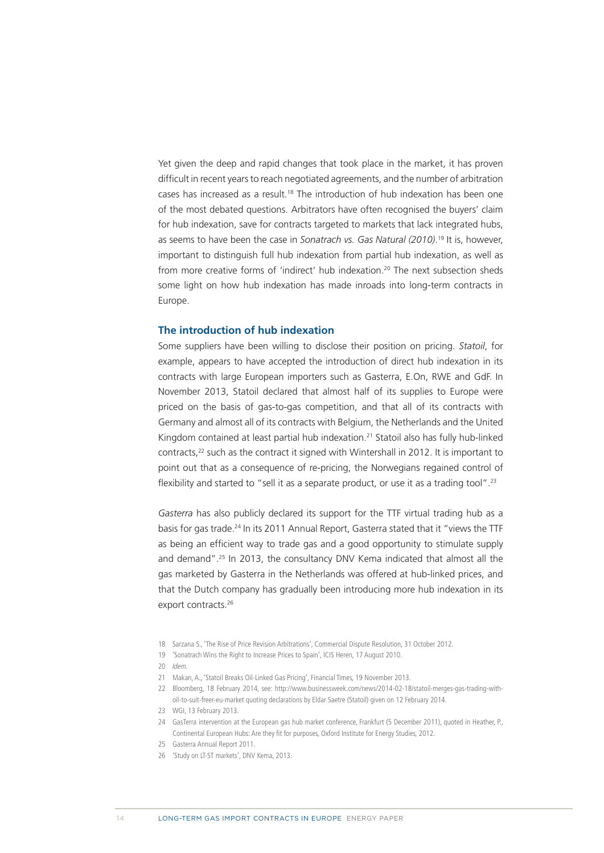Yet given the deep and rapid changes that took place in the market, it has proven difficult in recent years to reach negotiated agreements, and the number of arbitration cases has increased as a result.<sup>18</sup> The introduction of hub indexation has been one of the most debated questions. Arbitrators have often recognised the buyers' claim for hub indexation, save for contracts targeted to markets that lack integrated hubs, as seems to have been the case in *Sonatrach vs. Gas Natural (2010)*. 19 It is, however, important to distinguish full hub indexation from partial hub indexation, as well as from more creative forms of 'indirect' hub indexation.<sup>20</sup> The next subsection sheds some light on how hub indexation has made inroads into long-term contracts in Europe.

#### **The introduction of hub indexation**

Some suppliers have been willing to disclose their position on pricing. *Statoil*, for example, appears to have accepted the introduction of direct hub indexation in its contracts with large European importers such as Gasterra, E.On, RWE and GdF. In November 2013, Statoil declared that almost half of its supplies to Europe were priced on the basis of gas-to-gas competition, and that all of its contracts with Germany and almost all of its contracts with Belgium, the Netherlands and the United Kingdom contained at least partial hub indexation.21 Statoil also has fully hub-linked contracts,<sup>22</sup> such as the contract it signed with Wintershall in 2012. It is important to point out that as a consequence of re-pricing, the Norwegians regained control of flexibility and started to "sell it as a separate product, or use it as a trading tool".<sup>23</sup>

*Gasterra* has also publicly declared its support for the TTF virtual trading hub as a basis for gas trade.24 In its 2011 Annual Report, Gasterra stated that it "views the TTF as being an efficient way to trade gas and a good opportunity to stimulate supply and demand".25 In 2013, the consultancy DNV Kema indicated that almost all the gas marketed by Gasterra in the Netherlands was offered at hub-linked prices, and that the Dutch company has gradually been introducing more hub indexation in its export contracts.<sup>26</sup>

- 18 Sarzana S., 'The Rise of Price Revision Arbitrations', Commercial Dispute Resolution, 31 October 2012.
- 19 'Sonatrach Wins the Right to Increase Prices to Spain', ICIS Heren, 17 August 2010.
- 20 Idem.
- 21 Makan, A., 'Statoil Breaks Oil-Linked Gas Pricing', Financial Times, 19 November 2013.
- 22 Bloomberg, 18 February 2014, see: [http://www.businessweek.com/news/2014-02-18/statoil-merges-gas-trading-with](http://www.businessweek.com/news/2014-02-18/statoil-merges-gas-trading-with-oil-to-suit-freer-eu-market)[oil-to-suit-freer-eu-market](http://www.businessweek.com/news/2014-02-18/statoil-merges-gas-trading-with-oil-to-suit-freer-eu-market) quoting declarations by Eldar Saetre (Statoil) given on 12 February 2014.
- 23 WGI, 13 February 2013.
- 24 GasTerra intervention at the European gas hub market conference, Frankfurt (5 December 2011), quoted in Heather, P., Continental European Hubs: Are they fit for purposes, Oxford Institute for Energy Studies, 2012.
- 25 Gasterra Annual Report 2011.
- 26 'Study on LT-ST markets', DNV Kema, 2013.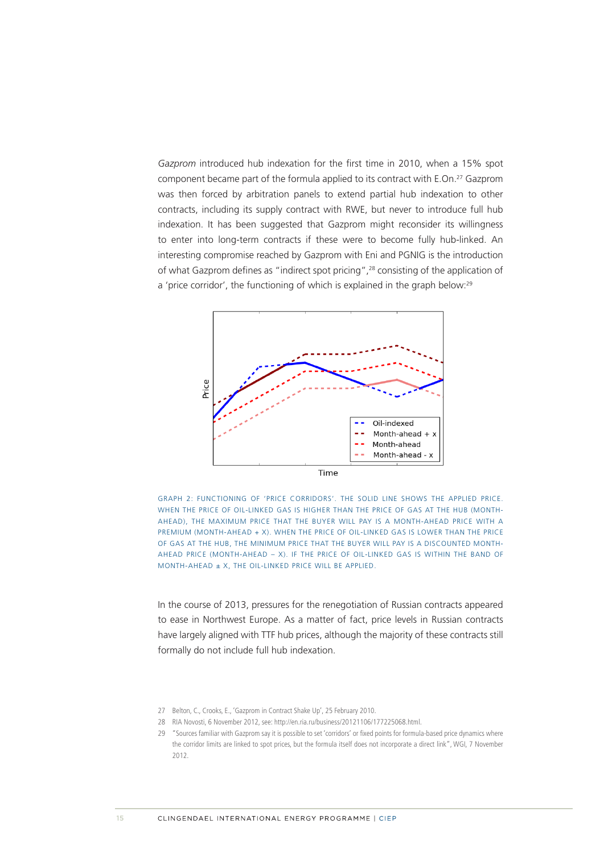*Gazprom* introduced hub indexation for the first time in 2010, when a 15% spot component became part of the formula applied to its contract with E.On.27 Gazprom was then forced by arbitration panels to extend partial hub indexation to other contracts, including its supply contract with RWE, but never to introduce full hub indexation. It has been suggested that Gazprom might reconsider its willingness to enter into long-term contracts if these were to become fully hub-linked. An interesting compromise reached by Gazprom with Eni and PGNIG is the introduction of what Gazprom defines as "indirect spot pricing",28 consisting of the application of a 'price corridor', the functioning of which is explained in the graph below:<sup>29</sup>



GRAPH 2: FUNCTIONING OF 'PRICE CORRIDORS'. THE SOLID LINE SHOWS THE APPLIED PRICE. WHEN THE PRICE OF OIL-LINKED GAS IS HIGHER THAN THE PRICE OF GAS AT THE HUB (MONTH-AHEAD), THE MAXIMUM PRICE THAT THE BUYER WILL PAY IS A MONTH-AHEAD PRICE WITH A PREMIUM (MONTH-AHEAD + X). WHEN THE PRICE OF OIL-LINKED GAS IS LOWER THAN THE PRICE OF GAS AT THE HUB, THE MINIMUM PRICE THAT THE BUYER WILL PAY IS A DISCOUNTED MONTH-AHEAD PRICE (MONTH-AHEAD – X). IF THE PRICE OF OIL-LINKED GAS IS WITHIN THE BAND OF MONTH-AHEAD ± X, THE OIL-LINKED PRICE WILL BE APPLIED.

In the course of 2013, pressures for the renegotiation of Russian contracts appeared to ease in Northwest Europe. As a matter of fact, price levels in Russian contracts have largely aligned with TTF hub prices, although the majority of these contracts still formally do not include full hub indexation.

<sup>27</sup> Belton, C., Crooks, E., 'Gazprom in Contract Shake Up', 25 February 2010.

<sup>28</sup> RIA Novosti, 6 November 2012, see:<http://en.ria.ru/business/20121106/177225068.html>.

<sup>29</sup> "Sources familiar with Gazprom say it is possible to set 'corridors' or fixed points for formula-based price dynamics where the corridor limits are linked to spot prices, but the formula itself does not incorporate a direct link", WGI, 7 November 2012.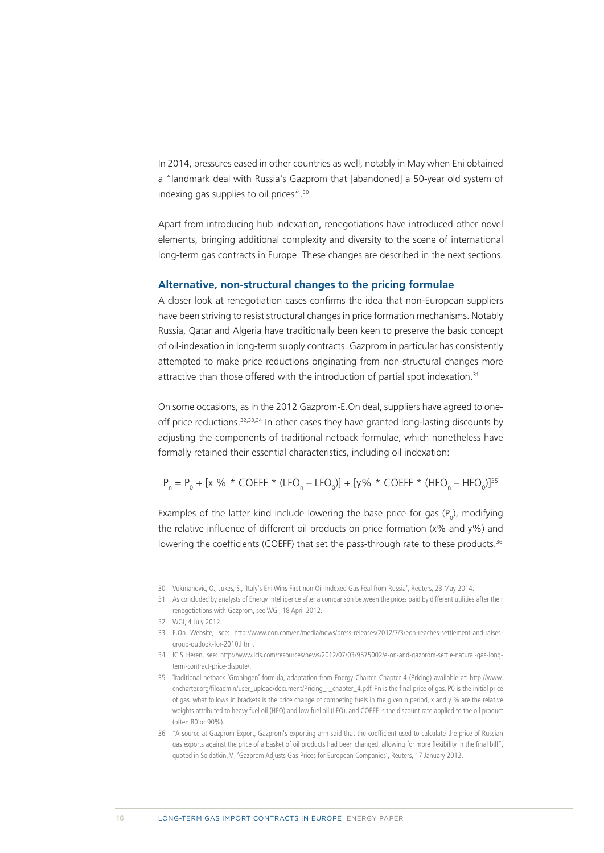In 2014, pressures eased in other countries as well, notably in May when Eni obtained a "landmark deal with Russia's Gazprom that [abandoned] a 50-year old system of indexing gas supplies to oil prices".30

Apart from introducing hub indexation, renegotiations have introduced other novel elements, bringing additional complexity and diversity to the scene of international long-term gas contracts in Europe. These changes are described in the next sections.

#### **Alternative, non-structural changes to the pricing formulae**

A closer look at renegotiation cases confirms the idea that non-European suppliers have been striving to resist structural changes in price formation mechanisms. Notably Russia, Qatar and Algeria have traditionally been keen to preserve the basic concept of oil-indexation in long-term supply contracts. Gazprom in particular has consistently attempted to make price reductions originating from non-structural changes more attractive than those offered with the introduction of partial spot indexation.<sup>31</sup>

On some occasions, as in the 2012 Gazprom-E.On deal, suppliers have agreed to oneoff price reductions.32,33,34 In other cases they have granted long-lasting discounts by adjusting the components of traditional netback formulae, which nonetheless have formally retained their essential characteristics, including oil indexation:

 $P_n = P_0 + [x \text{ % } ^* \text{ COEFF } ^* (\text{LFO}_n - \text{LFO}_0)] + [y \text{ % } ^* \text{ COEFF } ^* (\text{HFO}_n - \text{HFO}_0)]^{35}$ 

Examples of the latter kind include lowering the base price for gas  $(P_o)$ , modifying the relative influence of different oil products on price formation  $(x\%$  and  $y\%$ ) and lowering the coefficients (COEFF) that set the pass-through rate to these products.<sup>36</sup>

- 34 ICIS Heren, see: [http://www.icis.com/resources/news/2012/07/03/9575002/e-on-and-gazprom-settle-natural-gas-long](http://www.icis.com/resources/news/2012/07/03/9575002/e-on-and-gazprom-settle-natural-gas-long-term-contract-price-dispute/)[term-contract-price-dispute/](http://www.icis.com/resources/news/2012/07/03/9575002/e-on-and-gazprom-settle-natural-gas-long-term-contract-price-dispute/).
- 35 Traditional netback 'Groningen' formula, adaptation from Energy Charter, Chapter 4 (Pricing) available at: [http://www.](http://www.encharter.org/fileadmin/user_upload/document/Pricing_-_chapter_4.pdf) [encharter.org/fileadmin/user\\_upload/document/Pricing\\_-\\_chapter\\_4.pdf.](http://www.encharter.org/fileadmin/user_upload/document/Pricing_-_chapter_4.pdf) Pn is the final price of gas, P0 is the initial price of gas, what follows in brackets is the price change of competing fuels in the given n period, x and y % are the relative weights attributed to heavy fuel oil (HFO) and low fuel oil (LFO), and COEFF is the discount rate applied to the oil product (often 80 or 90%).
- 36 "A source at Gazprom Export, Gazprom's exporting arm said that the coefficient used to calculate the price of Russian gas exports against the price of a basket of oil products had been changed, allowing for more flexibility in the final bill", quoted in Soldatkin, V., 'Gazprom Adjusts Gas Prices for European Companies', Reuters, 17 January 2012.

<sup>30</sup> Vukmanovic, O., Jukes, S., 'Italy's Eni Wins First non Oil-Indexed Gas Feal from Russia', Reuters, 23 May 2014.

<sup>31</sup> As concluded by analysts of Energy Intelligence after a comparison between the prices paid by different utilities after their renegotiations with Gazprom, see WGI, 18 April 2012.

<sup>32</sup> WGI, 4 July 2012.

<sup>33</sup> E.On Website, see: [http://www.eon.com/en/media/news/press-releases/2012/7/3/eon-reaches-settlement-and-raises](http://www.eon.com/en/media/news/press-releases/2012/7/3/eon-reaches-settlement-and-raises-group-outlook-for-2010.html)[group-outlook-for-2010.html](http://www.eon.com/en/media/news/press-releases/2012/7/3/eon-reaches-settlement-and-raises-group-outlook-for-2010.html).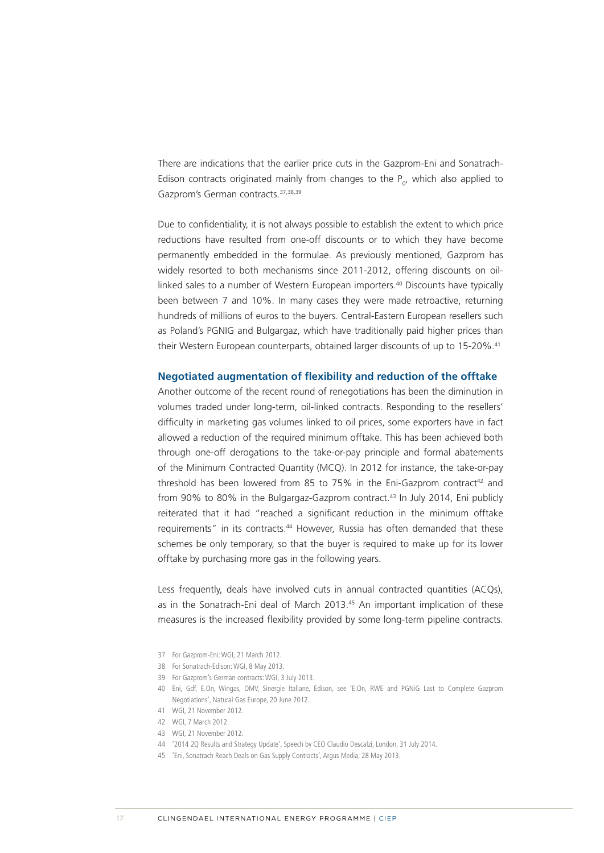There are indications that the earlier price cuts in the Gazprom-Eni and Sonatrach-Edison contracts originated mainly from changes to the  $P_{o}$ , which also applied to Gazprom's German contracts.37,38,39

Due to confidentiality, it is not always possible to establish the extent to which price reductions have resulted from one-off discounts or to which they have become permanently embedded in the formulae. As previously mentioned, Gazprom has widely resorted to both mechanisms since 2011-2012, offering discounts on oillinked sales to a number of Western European importers.<sup>40</sup> Discounts have typically been between 7 and 10%. In many cases they were made retroactive, returning hundreds of millions of euros to the buyers. Central-Eastern European resellers such as Poland's PGNIG and Bulgargaz, which have traditionally paid higher prices than their Western European counterparts, obtained larger discounts of up to 15-20%.<sup>41</sup>

#### **Negotiated augmentation of flexibility and reduction of the offtake**

Another outcome of the recent round of renegotiations has been the diminution in volumes traded under long-term, oil-linked contracts. Responding to the resellers' difficulty in marketing gas volumes linked to oil prices, some exporters have in fact allowed a reduction of the required minimum offtake. This has been achieved both through one-off derogations to the take-or-pay principle and formal abatements of the Minimum Contracted Quantity (MCQ). In 2012 for instance, the take-or-pay threshold has been lowered from 85 to 75% in the Eni-Gazprom contract<sup>42</sup> and from 90% to 80% in the Bulgargaz-Gazprom contract.<sup>43</sup> In July 2014, Eni publicly reiterated that it had "reached a significant reduction in the minimum offtake requirements" in its contracts.<sup>44</sup> However, Russia has often demanded that these schemes be only temporary, so that the buyer is required to make up for its lower offtake by purchasing more gas in the following years.

Less frequently, deals have involved cuts in annual contracted quantities (ACQs), as in the Sonatrach-Eni deal of March 2013.<sup>45</sup> An important implication of these measures is the increased flexibility provided by some long-term pipeline contracts.

- 37 For Gazprom-Eni: WGI, 21 March 2012.
- 38 For Sonatrach-Edison: WGI, 8 May 2013.
- 39 For Gazprom's German contracts: WGI, 3 July 2013.
- 40 Eni, Gdf, E.On, Wingas, OMV, Sinergie Italiane, Edison, see 'E.On, RWE and PGNiG Last to Complete Gazprom Negotiations', Natural Gas Europe, 20 June 2012.
- 41 WGI, 21 November 2012.
- 42 WGI, 7 March 2012.
- 43 WGI, 21 November 2012.
- 44 '2014 2Q Results and Strategy Update', Speech by CEO Claudio Descalzi, London, 31 July 2014.
- 45 'Eni, Sonatrach Reach Deals on Gas Supply Contracts', Argus Media, 28 May 2013.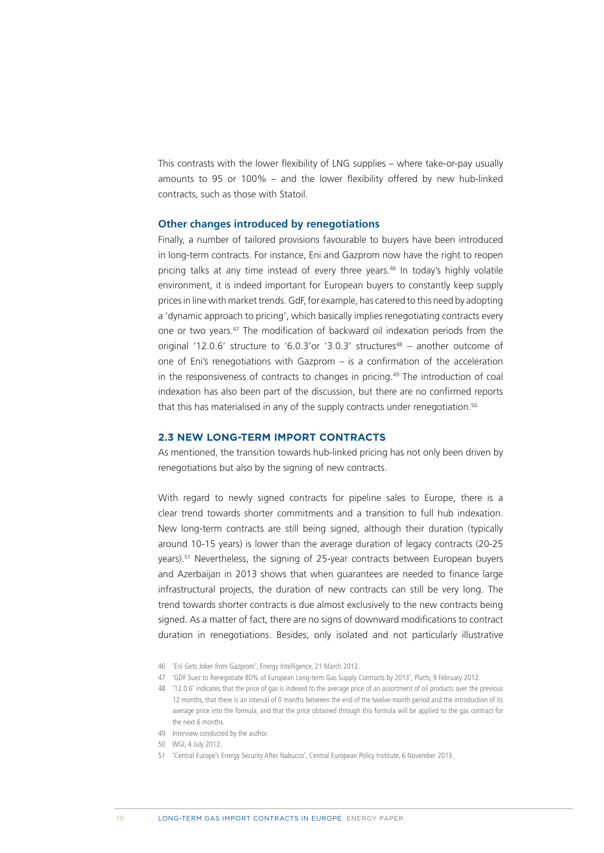<span id="page-14-0"></span>This contrasts with the lower flexibility of LNG supplies – where take-or-pay usually amounts to 95 or 100% – and the lower flexibility offered by new hub-linked contracts, such as those with Statoil.

#### **Other changes introduced by renegotiations**

Finally, a number of tailored provisions favourable to buyers have been introduced in long-term contracts. For instance, Eni and Gazprom now have the right to reopen pricing talks at any time instead of every three years.<sup>46</sup> In today's highly volatile environment, it is indeed important for European buyers to constantly keep supply prices in line with market trends. GdF, for example, has catered to this need by adopting a 'dynamic approach to pricing', which basically implies renegotiating contracts every one or two years.47 The modification of backward oil indexation periods from the original '12.0.6' structure to '6.0.3'or '3.0.3' structures<sup>48</sup> – another outcome of one of Eni's renegotiations with Gazprom – is a confirmation of the acceleration in the responsiveness of contracts to changes in pricing.<sup>49</sup> The introduction of coal indexation has also been part of the discussion, but there are no confirmed reports that this has materialised in any of the supply contracts under renegotiation.<sup>50</sup>

#### **2.3 NEW LONG-TERM IMPORT CONTRACTS**

As mentioned, the transition towards hub-linked pricing has not only been driven by renegotiations but also by the signing of new contracts.

With regard to newly signed contracts for pipeline sales to Europe, there is a clear trend towards shorter commitments and a transition to full hub indexation. New long-term contracts are still being signed, although their duration (typically around 10-15 years) is lower than the average duration of legacy contracts (20-25 years).51 Nevertheless, the signing of 25-year contracts between European buyers and Azerbaijan in 2013 shows that when guarantees are needed to finance large infrastructural projects, the duration of new contracts can still be very long. The trend towards shorter contracts is due almost exclusively to the new contracts being signed. As a matter of fact, there are no signs of downward modifications to contract duration in renegotiations. Besides, only isolated and not particularly illustrative

- 46 'Eni Gets Joker from Gazprom', Energy Intelligence, 21 March 2012.
- 47 'GDF Suez to Renegotiate 80% of European Long-term Gas Supply Contracts by 2013', Platts, 9 February 2012.
- 48 '12.0.6' indicates that the price of gas is indexed to the average price of an assortment of oil products over the previous 12 months, that there is an interval of 0 months between the end of the twelve-month period and the introduction of its average price into the formula, and that the price obtained through this formula will be applied to the gas contract for the next 6 months.
- 49 Interview conducted by the author.
- 50 WGI, 4 July 2012.
- 51 'Central Europe's Energy Security After Nabucco', Central European Policy Institute, 6 November 2013.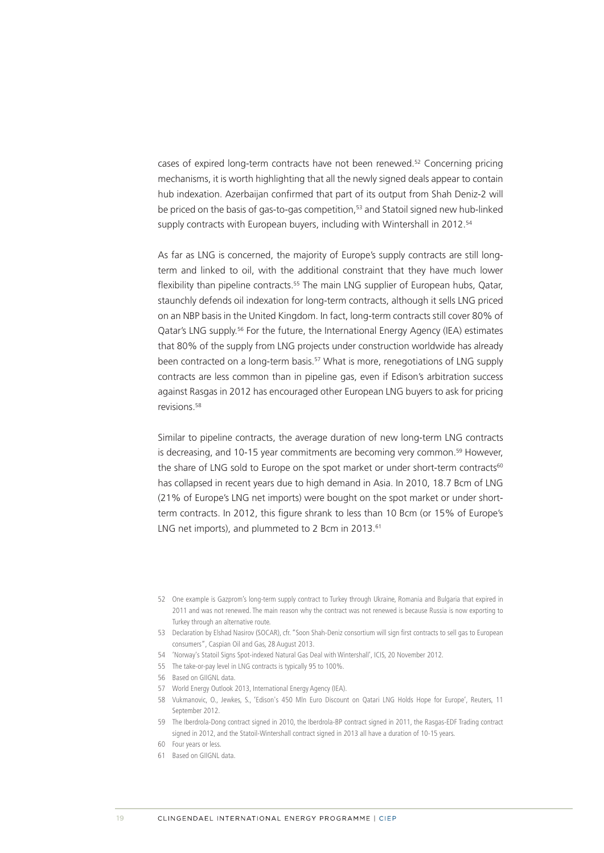cases of expired long-term contracts have not been renewed.52 Concerning pricing mechanisms, it is worth highlighting that all the newly signed deals appear to contain hub indexation. Azerbaijan confirmed that part of its output from Shah Deniz-2 will be priced on the basis of gas-to-gas competition,<sup>53</sup> and Statoil signed new hub-linked supply contracts with European buyers, including with Wintershall in 2012.<sup>54</sup>

As far as LNG is concerned, the majority of Europe's supply contracts are still longterm and linked to oil, with the additional constraint that they have much lower flexibility than pipeline contracts.<sup>55</sup> The main LNG supplier of European hubs, Qatar, staunchly defends oil indexation for long-term contracts, although it sells LNG priced on an NBP basis in the United Kingdom. In fact, long-term contracts still cover 80% of Qatar's LNG supply.<sup>56</sup> For the future, the International Energy Agency (IEA) estimates that 80% of the supply from LNG projects under construction worldwide has already been contracted on a long-term basis.<sup>57</sup> What is more, renegotiations of LNG supply contracts are less common than in pipeline gas, even if Edison's arbitration success against Rasgas in 2012 has encouraged other European LNG buyers to ask for pricing revisions.58

Similar to pipeline contracts, the average duration of new long-term LNG contracts is decreasing, and 10-15 year commitments are becoming very common.<sup>59</sup> However, the share of LNG sold to Europe on the spot market or under short-term contracts<sup>60</sup> has collapsed in recent years due to high demand in Asia. In 2010, 18.7 Bcm of LNG (21% of Europe's LNG net imports) were bought on the spot market or under shortterm contracts. In 2012, this figure shrank to less than 10 Bcm (or 15% of Europe's LNG net imports), and plummeted to 2 Bcm in 2013.<sup>61</sup>

- 54 'Norway's Statoil Signs Spot-indexed Natural Gas Deal with Wintershall', ICIS, 20 November 2012.
- 55 The take-or-pay level in LNG contracts is typically 95 to 100%.
- 56 Based on GIIGNL data.
- 57 World Energy Outlook 2013, International Energy Agency (IEA).
- 58 Vukmanovic, O., Jewkes, S., 'Edison's 450 Mln Euro Discount on Qatari LNG Holds Hope for Europe', Reuters, 11 September 2012.
- 59 The Iberdrola-Dong contract signed in 2010, the Iberdrola-BP contract signed in 2011, the Rasgas-EDF Trading contract signed in 2012, and the Statoil-Wintershall contract signed in 2013 all have a duration of 10-15 years.
- 60 Four years or less.
- 61 Based on GIIGNL data.

<sup>52</sup> One example is Gazprom's long-term supply contract to Turkey through Ukraine, Romania and Bulgaria that expired in 2011 and was not renewed. The main reason why the contract was not renewed is because Russia is now exporting to Turkey through an alternative route.

<sup>53</sup> Declaration by Elshad Nasirov (SOCAR), cfr. "Soon Shah-Deniz consortium will sign first contracts to sell gas to European consumers", Caspian Oil and Gas, 28 August 2013.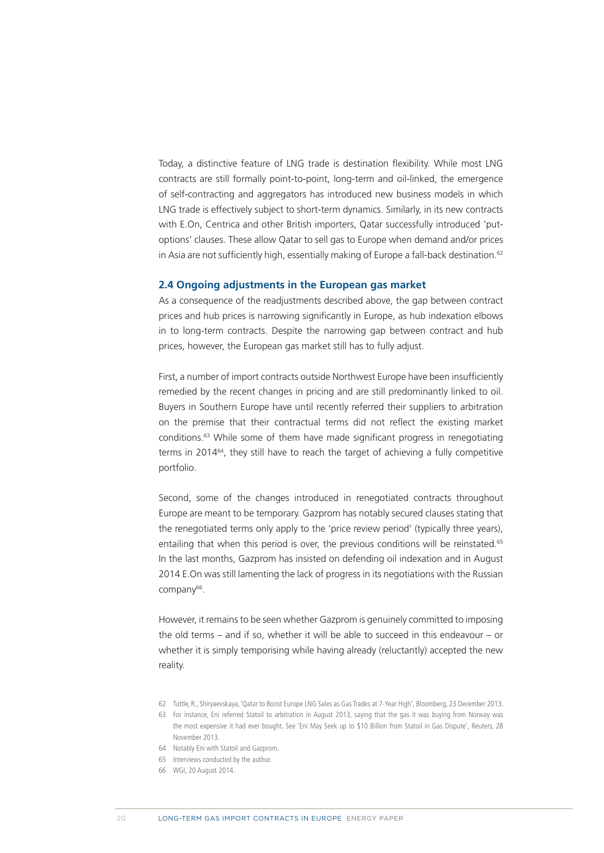<span id="page-16-0"></span>Today, a distinctive feature of LNG trade is destination flexibility. While most LNG contracts are still formally point-to-point, long-term and oil-linked, the emergence of self-contracting and aggregators has introduced new business models in which LNG trade is effectively subject to short-term dynamics. Similarly, in its new contracts with E.On, Centrica and other British importers, Qatar successfully introduced 'putoptions' clauses. These allow Qatar to sell gas to Europe when demand and/or prices in Asia are not sufficiently high, essentially making of Europe a fall-back destination.<sup>62</sup>

#### **2.4 Ongoing adjustments in the European gas market**

As a consequence of the readjustments described above, the gap between contract prices and hub prices is narrowing significantly in Europe, as hub indexation elbows in to long-term contracts. Despite the narrowing gap between contract and hub prices, however, the European gas market still has to fully adjust.

First, a number of import contracts outside Northwest Europe have been insufficiently remedied by the recent changes in pricing and are still predominantly linked to oil. Buyers in Southern Europe have until recently referred their suppliers to arbitration on the premise that their contractual terms did not reflect the existing market conditions.63 While some of them have made significant progress in renegotiating terms in 2014<sup>64</sup>, they still have to reach the target of achieving a fully competitive portfolio.

Second, some of the changes introduced in renegotiated contracts throughout Europe are meant to be temporary. Gazprom has notably secured clauses stating that the renegotiated terms only apply to the 'price review period' (typically three years), entailing that when this period is over, the previous conditions will be reinstated.<sup>65</sup> In the last months, Gazprom has insisted on defending oil indexation and in August 2014 E.On was still lamenting the lack of progress in its negotiations with the Russian company<sup>66</sup>.

However, it remains to be seen whether Gazprom is genuinely committed to imposing the old terms – and if so, whether it will be able to succeed in this endeavour – or whether it is simply temporising while having already (reluctantly) accepted the new reality.

- 64 Notably Eni with Statoil and Gazprom.
- 65 Interviews conducted by the author.
- 66 WGI, 20 August 2014.

<sup>62</sup> Tuttle, R., Shiryaevskaya, 'Qatar to Boost Europe LNG Sales as Gas Trades at 7-Year High', Bloomberg, 23 December 2013.

<sup>63</sup> For instance, Eni referred Statoil to arbitration in August 2013, saying that the gas it was buying from Norway was the most expensive it had ever bought. See 'Eni May Seek up to \$10 Billion from Statoil in Gas Dispute', Reuters, 28 November 2013.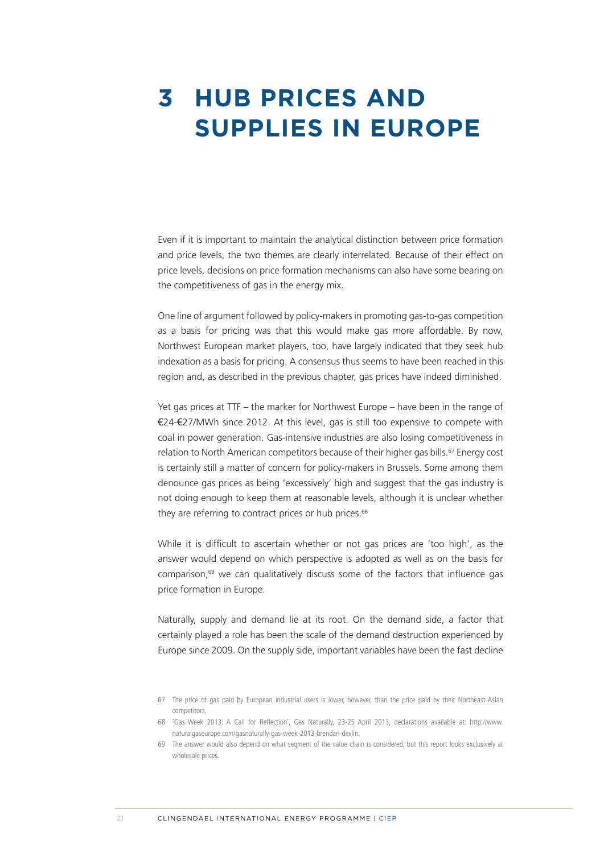### <span id="page-17-0"></span>**3 HUB PRICES AND SUPPLIES IN EUROPE**

Even if it is important to maintain the analytical distinction between price formation and price levels, the two themes are clearly interrelated. Because of their effect on price levels, decisions on price formation mechanisms can also have some bearing on the competitiveness of gas in the energy mix.

One line of argument followed by policy-makers in promoting gas-to-gas competition as a basis for pricing was that this would make gas more affordable. By now, Northwest European market players, too, have largely indicated that they seek hub indexation as a basis for pricing. A consensus thus seems to have been reached in this region and, as described in the previous chapter, gas prices have indeed diminished.

Yet gas prices at TTF – the marker for Northwest Europe – have been in the range of €24-€27/MWh since 2012. At this level, gas is still too expensive to compete with coal in power generation. Gas-intensive industries are also losing competitiveness in relation to North American competitors because of their higher gas bills.<sup>67</sup> Energy cost is certainly still a matter of concern for policy-makers in Brussels. Some among them denounce gas prices as being 'excessively' high and suggest that the gas industry is not doing enough to keep them at reasonable levels, although it is unclear whether they are referring to contract prices or hub prices.<sup>68</sup>

While it is difficult to ascertain whether or not gas prices are 'too high', as the answer would depend on which perspective is adopted as well as on the basis for comparison,69 we can qualitatively discuss some of the factors that influence gas price formation in Europe.

Naturally, supply and demand lie at its root. On the demand side, a factor that certainly played a role has been the scale of the demand destruction experienced by Europe since 2009. On the supply side, important variables have been the fast decline

<sup>67</sup> The price of gas paid by European industrial users is lower, however, than the price paid by their Northeast Asian competitors.

<sup>68</sup> 'Gas Week 2013: A Call for Reflection', Gas Naturally, 23-25 April 2013, declarations available at: [http://www.](http://www.naturalgaseurope.com/gasnaturally-gas-week-2013-brendan-devlin) [naturalgaseurope.com/gasnaturally-gas-week-2013-brendan-devlin](http://www.naturalgaseurope.com/gasnaturally-gas-week-2013-brendan-devlin).

<sup>69</sup> The answer would also depend on what segment of the value chain is considered, but this report looks exclusively at wholesale prices.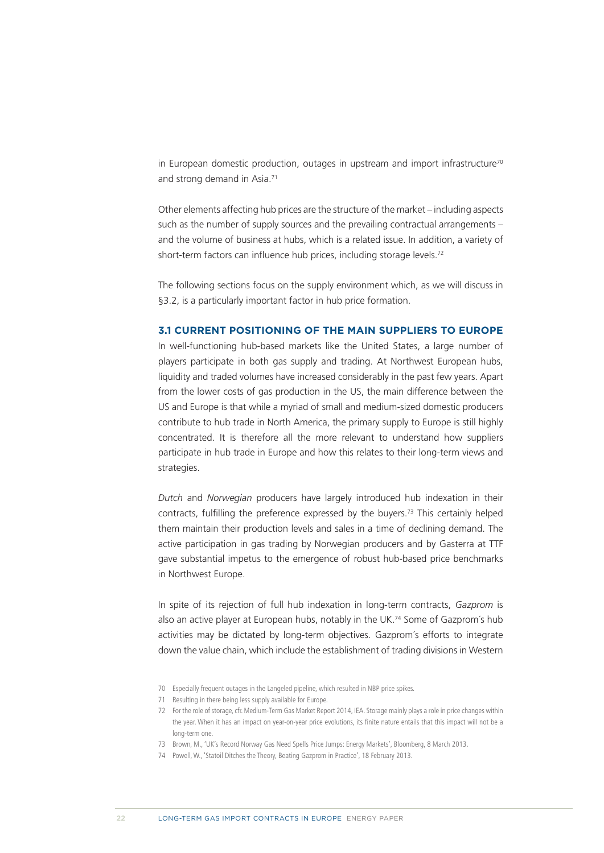<span id="page-18-0"></span>in European domestic production, outages in upstream and import infrastructure<sup>70</sup> and strong demand in Asia.<sup>71</sup>

Other elements affecting hub prices are the structure of the market – including aspects such as the number of supply sources and the prevailing contractual arrangements – and the volume of business at hubs, which is a related issue. In addition, a variety of short-term factors can influence hub prices, including storage levels.<sup>72</sup>

The following sections focus on the supply environment which, as we will discuss in §3.2, is a particularly important factor in hub price formation.

#### **3.1 CURRENT POSITIONING OF THE MAIN SUPPLIERS TO EUROPE**

In well-functioning hub-based markets like the United States, a large number of players participate in both gas supply and trading. At Northwest European hubs, liquidity and traded volumes have increased considerably in the past few years. Apart from the lower costs of gas production in the US, the main difference between the US and Europe is that while a myriad of small and medium-sized domestic producers contribute to hub trade in North America, the primary supply to Europe is still highly concentrated. It is therefore all the more relevant to understand how suppliers participate in hub trade in Europe and how this relates to their long-term views and strategies.

*Dutch* and *Norwegian* producers have largely introduced hub indexation in their contracts, fulfilling the preference expressed by the buyers.73 This certainly helped them maintain their production levels and sales in a time of declining demand. The active participation in gas trading by Norwegian producers and by Gasterra at TTF gave substantial impetus to the emergence of robust hub-based price benchmarks in Northwest Europe.

In spite of its rejection of full hub indexation in long-term contracts, *Gazprom* is also an active player at European hubs, notably in the UK.<sup>74</sup> Some of Gazprom's hub activities may be dictated by long-term objectives. Gazprom´s efforts to integrate down the value chain, which include the establishment of trading divisions in Western

70 Especially frequent outages in the Langeled pipeline, which resulted in NBP price spikes.

<sup>71</sup> Resulting in there being less supply available for Europe.

<sup>72</sup> For the role of storage, cfr. Medium-Term Gas Market Report 2014, IEA. Storage mainly plays a role in price changes within the year. When it has an impact on year-on-year price evolutions, its finite nature entails that this impact will not be a long-term one.

<sup>73</sup> Brown, M., 'UK's Record Norway Gas Need Spells Price Jumps: Energy Markets', Bloomberg, 8 March 2013.

<sup>74</sup> Powell, W., 'Statoil Ditches the Theory, Beating Gazprom in Practice', 18 February 2013.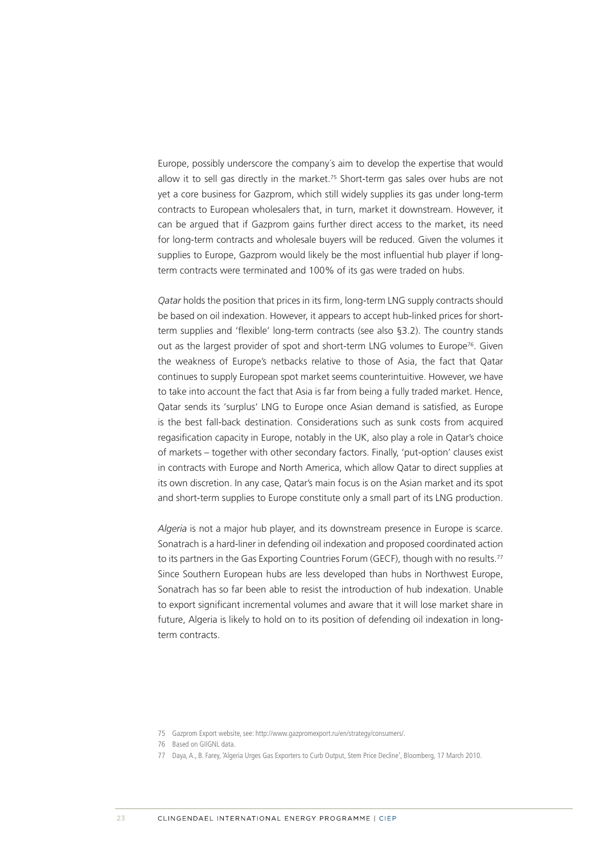Europe, possibly underscore the company´s aim to develop the expertise that would allow it to sell gas directly in the market.<sup>75</sup> Short-term gas sales over hubs are not yet a core business for Gazprom, which still widely supplies its gas under long-term contracts to European wholesalers that, in turn, market it downstream. However, it can be argued that if Gazprom gains further direct access to the market, its need for long-term contracts and wholesale buyers will be reduced. Given the volumes it supplies to Europe, Gazprom would likely be the most influential hub player if longterm contracts were terminated and 100% of its gas were traded on hubs.

*Qatar* holds the position that prices in its firm, long-term LNG supply contracts should be based on oil indexation. However, it appears to accept hub-linked prices for shortterm supplies and 'flexible' long-term contracts (see also §3.2). The country stands out as the largest provider of spot and short-term LNG volumes to Europe<sup>76</sup>. Given the weakness of Europe's netbacks relative to those of Asia, the fact that Qatar continues to supply European spot market seems counterintuitive. However, we have to take into account the fact that Asia is far from being a fully traded market. Hence, Qatar sends its 'surplus' LNG to Europe once Asian demand is satisfied, as Europe is the best fall-back destination. Considerations such as sunk costs from acquired regasification capacity in Europe, notably in the UK, also play a role in Qatar's choice of markets – together with other secondary factors. Finally, 'put-option' clauses exist in contracts with Europe and North America, which allow Qatar to direct supplies at its own discretion. In any case, Qatar's main focus is on the Asian market and its spot and short-term supplies to Europe constitute only a small part of its LNG production.

*Algeria* is not a major hub player, and its downstream presence in Europe is scarce. Sonatrach is a hard-liner in defending oil indexation and proposed coordinated action to its partners in the Gas Exporting Countries Forum (GECF), though with no results.<sup>77</sup> Since Southern European hubs are less developed than hubs in Northwest Europe, Sonatrach has so far been able to resist the introduction of hub indexation. Unable to export significant incremental volumes and aware that it will lose market share in future, Algeria is likely to hold on to its position of defending oil indexation in longterm contracts.

<sup>75</sup> Gazprom Export website, see: <http://www.gazpromexport.ru/en/strategy/consumers/>.

<sup>76</sup> Based on GIIGNL data.

<sup>77</sup> Daya, A., B. Farey, 'Algeria Urges Gas Exporters to Curb Output, Stem Price Decline', Bloomberg, 17 March 2010.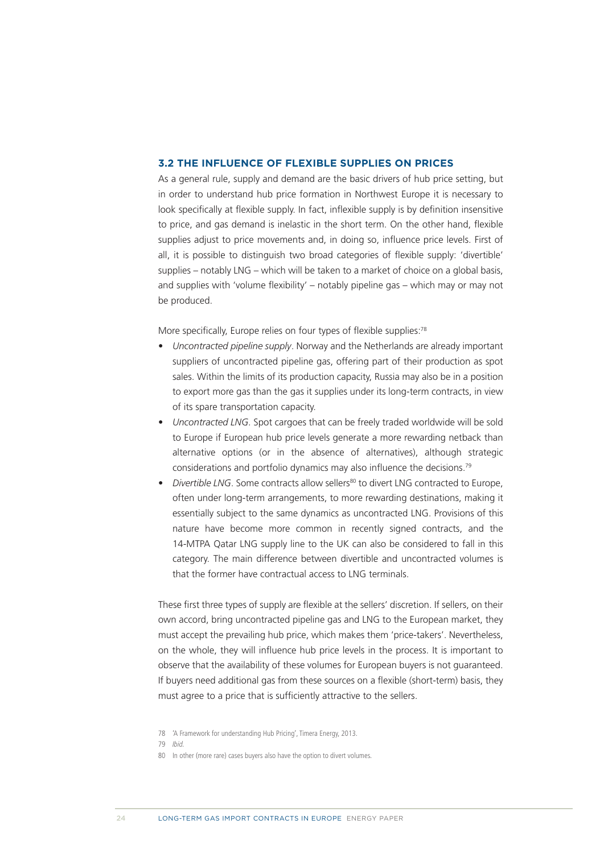#### <span id="page-20-0"></span>**3.2 THE INFLUENCE OF FLEXIBLE SUPPLIES ON PRICES**

As a general rule, supply and demand are the basic drivers of hub price setting, but in order to understand hub price formation in Northwest Europe it is necessary to look specifically at flexible supply. In fact, inflexible supply is by definition insensitive to price, and gas demand is inelastic in the short term. On the other hand, flexible supplies adjust to price movements and, in doing so, influence price levels. First of all, it is possible to distinguish two broad categories of flexible supply: 'divertible' supplies – notably LNG – which will be taken to a market of choice on a global basis, and supplies with 'volume flexibility' – notably pipeline gas – which may or may not be produced.

More specifically, Europe relies on four types of flexible supplies:<sup>78</sup>

- *• Uncontracted pipeline supply*. Norway and the Netherlands are already important suppliers of uncontracted pipeline gas, offering part of their production as spot sales. Within the limits of its production capacity, Russia may also be in a position to export more gas than the gas it supplies under its long-term contracts, in view of its spare transportation capacity.
- *• Uncontracted LNG*. Spot cargoes that can be freely traded worldwide will be sold to Europe if European hub price levels generate a more rewarding netback than alternative options (or in the absence of alternatives), although strategic considerations and portfolio dynamics may also influence the decisions.79
- *Divertible LNG*. Some contracts allow sellers<sup>80</sup> to divert LNG contracted to Europe, often under long-term arrangements, to more rewarding destinations, making it essentially subject to the same dynamics as uncontracted LNG. Provisions of this nature have become more common in recently signed contracts, and the 14-MTPA Qatar LNG supply line to the UK can also be considered to fall in this category. The main difference between divertible and uncontracted volumes is that the former have contractual access to LNG terminals.

These first three types of supply are flexible at the sellers' discretion. If sellers, on their own accord, bring uncontracted pipeline gas and LNG to the European market, they must accept the prevailing hub price, which makes them 'price-takers'. Nevertheless, on the whole, they will influence hub price levels in the process. It is important to observe that the availability of these volumes for European buyers is not guaranteed. If buyers need additional gas from these sources on a flexible (short-term) basis, they must agree to a price that is sufficiently attractive to the sellers.

<sup>78</sup> 'A Framework for understanding Hub Pricing', Timera Energy, 2013.

<sup>79</sup> Ibid.

<sup>80</sup> In other (more rare) cases buyers also have the option to divert volumes.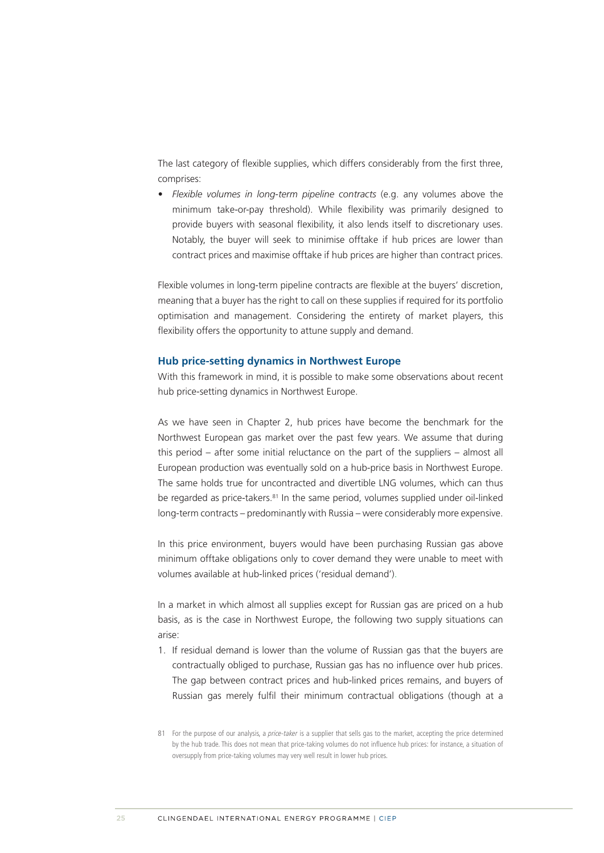The last category of flexible supplies, which differs considerably from the first three, comprises:

*• Flexible volumes in long-term pipeline contracts* (e.g. any volumes above the minimum take-or-pay threshold). While flexibility was primarily designed to provide buyers with seasonal flexibility, it also lends itself to discretionary uses. Notably, the buyer will seek to minimise offtake if hub prices are lower than contract prices and maximise offtake if hub prices are higher than contract prices.

Flexible volumes in long-term pipeline contracts are flexible at the buyers' discretion, meaning that a buyer has the right to call on these supplies if required for its portfolio optimisation and management. Considering the entirety of market players, this flexibility offers the opportunity to attune supply and demand.

#### **Hub price-setting dynamics in Northwest Europe**

With this framework in mind, it is possible to make some observations about recent hub price-setting dynamics in Northwest Europe.

As we have seen in Chapter 2, hub prices have become the benchmark for the Northwest European gas market over the past few years. We assume that during this period – after some initial reluctance on the part of the suppliers – almost all European production was eventually sold on a hub-price basis in Northwest Europe. The same holds true for uncontracted and divertible LNG volumes, which can thus be regarded as price-takers.<sup>81</sup> In the same period, volumes supplied under oil-linked long-term contracts – predominantly with Russia – were considerably more expensive.

In this price environment, buyers would have been purchasing Russian gas above minimum offtake obligations only to cover demand they were unable to meet with volumes available at hub-linked prices ('residual demand').

In a market in which almost all supplies except for Russian gas are priced on a hub basis, as is the case in Northwest Europe, the following two supply situations can arise:

- 1. If residual demand is lower than the volume of Russian gas that the buyers are contractually obliged to purchase, Russian gas has no influence over hub prices. The gap between contract prices and hub-linked prices remains, and buyers of Russian gas merely fulfil their minimum contractual obligations (though at a
- 81 For the purpose of our analysis, a price-taker is a supplier that sells gas to the market, accepting the price determined by the hub trade. This does not mean that price-taking volumes do not influence hub prices: for instance, a situation of oversupply from price-taking volumes may very well result in lower hub prices.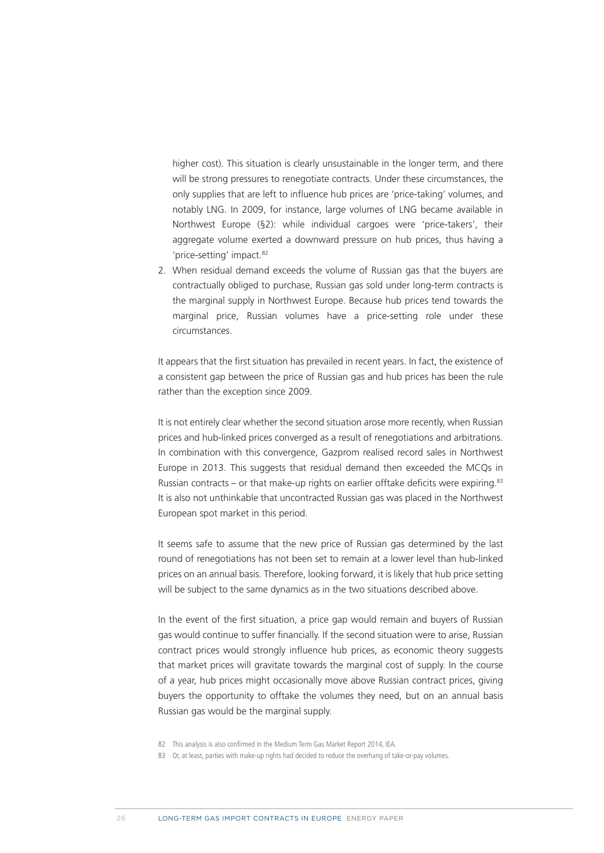higher cost). This situation is clearly unsustainable in the longer term, and there will be strong pressures to renegotiate contracts. Under these circumstances, the only supplies that are left to influence hub prices are 'price-taking' volumes, and notably LNG. In 2009, for instance, large volumes of LNG became available in Northwest Europe (§2): while individual cargoes were 'price-takers', their aggregate volume exerted a downward pressure on hub prices, thus having a 'price-setting' impact.<sup>82</sup>

2. When residual demand exceeds the volume of Russian gas that the buyers are contractually obliged to purchase, Russian gas sold under long-term contracts is the marginal supply in Northwest Europe. Because hub prices tend towards the marginal price, Russian volumes have a price-setting role under these circumstances.

It appears that the first situation has prevailed in recent years. In fact, the existence of a consistent gap between the price of Russian gas and hub prices has been the rule rather than the exception since 2009.

It is not entirely clear whether the second situation arose more recently, when Russian prices and hub-linked prices converged as a result of renegotiations and arbitrations. In combination with this convergence, Gazprom realised record sales in Northwest Europe in 2013. This suggests that residual demand then exceeded the MCQs in Russian contracts – or that make-up rights on earlier offtake deficits were expiring.<sup>83</sup> It is also not unthinkable that uncontracted Russian gas was placed in the Northwest European spot market in this period.

It seems safe to assume that the new price of Russian gas determined by the last round of renegotiations has not been set to remain at a lower level than hub-linked prices on an annual basis. Therefore, looking forward, it is likely that hub price setting will be subject to the same dynamics as in the two situations described above.

In the event of the first situation, a price gap would remain and buyers of Russian gas would continue to suffer financially. If the second situation were to arise, Russian contract prices would strongly influence hub prices, as economic theory suggests that market prices will gravitate towards the marginal cost of supply. In the course of a year, hub prices might occasionally move above Russian contract prices, giving buyers the opportunity to offtake the volumes they need, but on an annual basis Russian gas would be the marginal supply.

- 82 This analysis is also confirmed in the Medium Term Gas Market Report 2014, IEA.
- 83 Or, at least, parties with make-up rights had decided to reduce the overhang of take-or-pay volumes.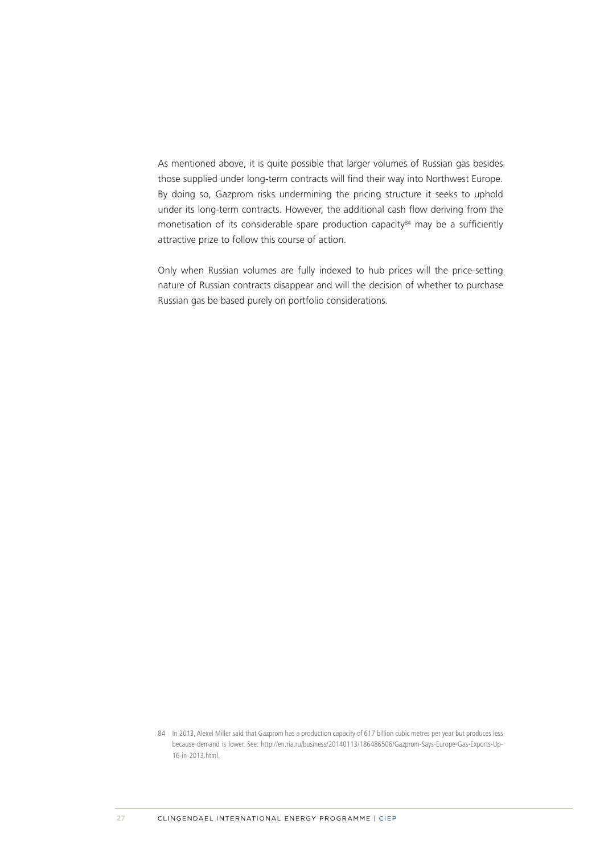As mentioned above, it is quite possible that larger volumes of Russian gas besides those supplied under long-term contracts will find their way into Northwest Europe. By doing so, Gazprom risks undermining the pricing structure it seeks to uphold under its long-term contracts. However, the additional cash flow deriving from the monetisation of its considerable spare production capacity<sup>84</sup> may be a sufficiently attractive prize to follow this course of action.

Only when Russian volumes are fully indexed to hub prices will the price-setting nature of Russian contracts disappear and will the decision of whether to purchase Russian gas be based purely on portfolio considerations.

<sup>84</sup> In 2013, Alexei Miller said that Gazprom has a production capacity of 617 billion cubic metres per year but produces less because demand is lower. See: [http://en.ria.ru/business/20140113/186486506/Gazprom-Says-Europe-Gas-Exports-Up-](http://en.ria.ru/business/20140113/186486506/Gazprom-Says-Europe-Gas-Exports-Up-16-in-2013.html)[16-in-2013.html.](http://en.ria.ru/business/20140113/186486506/Gazprom-Says-Europe-Gas-Exports-Up-16-in-2013.html)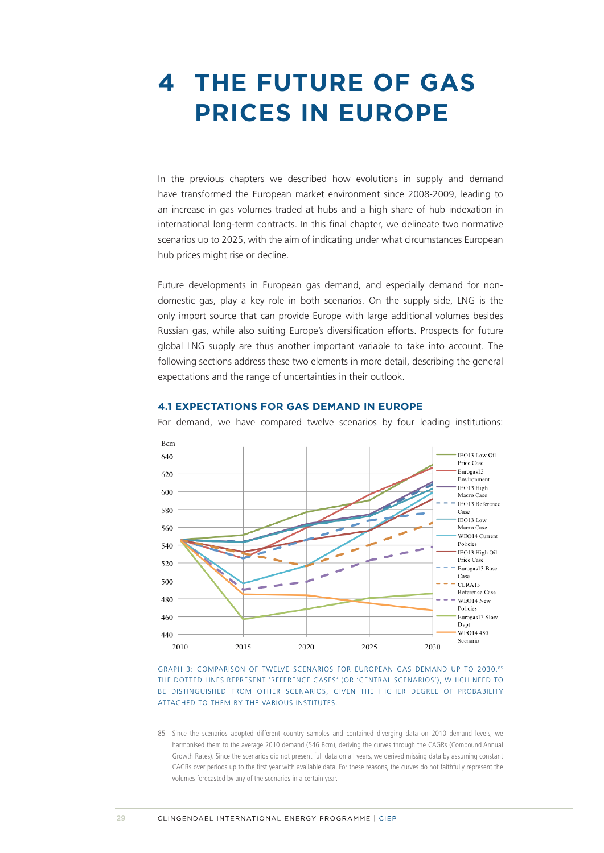### <span id="page-24-0"></span>**4 THE FUTURE OF GAS PRICES IN EUROPE**

In the previous chapters we described how evolutions in supply and demand have transformed the European market environment since 2008-2009, leading to an increase in gas volumes traded at hubs and a high share of hub indexation in international long-term contracts. In this final chapter, we delineate two normative scenarios up to 2025, with the aim of indicating under what circumstances European hub prices might rise or decline.

Future developments in European gas demand, and especially demand for nondomestic gas, play a key role in both scenarios. On the supply side, LNG is the only import source that can provide Europe with large additional volumes besides Russian gas, while also suiting Europe's diversification efforts. Prospects for future global LNG supply are thus another important variable to take into account. The following sections address these two elements in more detail, describing the general expectations and the range of uncertainties in their outlook.

#### **4.1 EXPECTATIONS FOR GAS DEMAND IN EUROPE**

For demand, we have compared twelve scenarios by four leading institutions:





85 Since the scenarios adopted different country samples and contained diverging data on 2010 demand levels, we harmonised them to the average 2010 demand (546 Bcm), deriving the curves through the CAGRs (Compound Annual Growth Rates). Since the scenarios did not present full data on all years, we derived missing data by assuming constant CAGRs over periods up to the first year with available data. For these reasons, the curves do not faithfully represent the volumes forecasted by any of the scenarios in a certain year.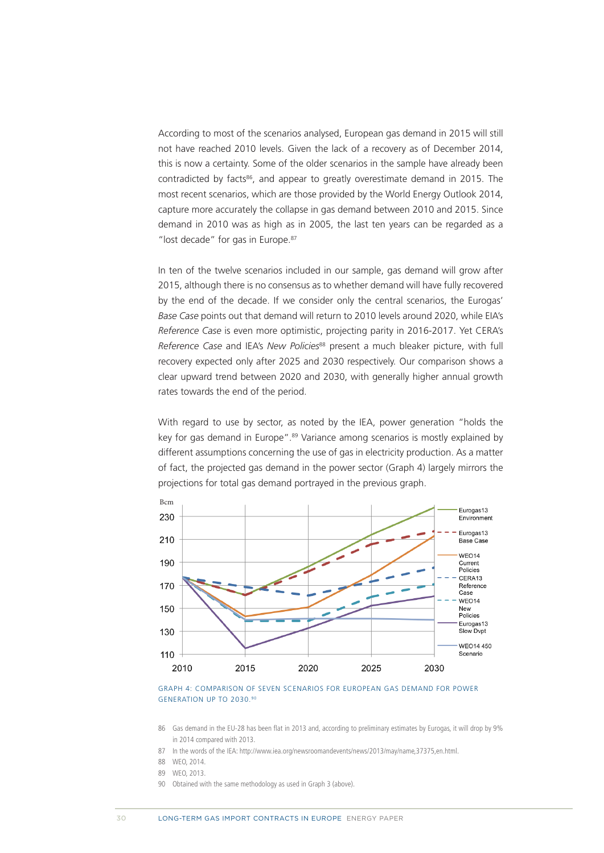According to most of the scenarios analysed, European gas demand in 2015 will still not have reached 2010 levels. Given the lack of a recovery as of December 2014, this is now a certainty. Some of the older scenarios in the sample have already been contradicted by facts<sup>86</sup>, and appear to greatly overestimate demand in 2015. The most recent scenarios, which are those provided by the World Energy Outlook 2014, capture more accurately the collapse in gas demand between 2010 and 2015. Since demand in 2010 was as high as in 2005, the last ten years can be regarded as a "lost decade" for gas in Europe.<sup>87</sup>

In ten of the twelve scenarios included in our sample, gas demand will grow after 2015, although there is no consensus as to whether demand will have fully recovered by the end of the decade. If we consider only the central scenarios, the Eurogas' *Base Case* points out that demand will return to 2010 levels around 2020, while EIA's *Reference Case* is even more optimistic, projecting parity in 2016-2017. Yet CERA's *Reference Case* and IEA's *New Policies*<sup>88</sup> present a much bleaker picture, with full recovery expected only after 2025 and 2030 respectively. Our comparison shows a clear upward trend between 2020 and 2030, with generally higher annual growth rates towards the end of the period.

With regard to use by sector, as noted by the IEA, power generation "holds the key for gas demand in Europe".<sup>89</sup> Variance among scenarios is mostly explained by different assumptions concerning the use of gas in electricity production. As a matter of fact, the projected gas demand in the power sector (Graph 4) largely mirrors the projections for total gas demand portrayed in the previous graph.



GRAPH 4: COMPARISON OF SEVEN SCENARIOS FOR EUROPEAN GAS DEMAND FOR POWER GENERATION UP TO 2030.90

- 88 WEO, 2014.
- 89 WEO, 2013.
- 90 Obtained with the same methodology as used in Graph 3 (above).

<sup>86</sup> Gas demand in the EU-28 has been flat in 2013 and, according to preliminary estimates by Eurogas, it will drop by 9% in 2014 compared with 2013.

<sup>87</sup> In the words of the IEA: [http://www.iea.org/newsroomandevents/news/2013/may/name,37375,en.html.](http://www.iea.org/newsroomandevents/news/2013/may/name,37375,en.html)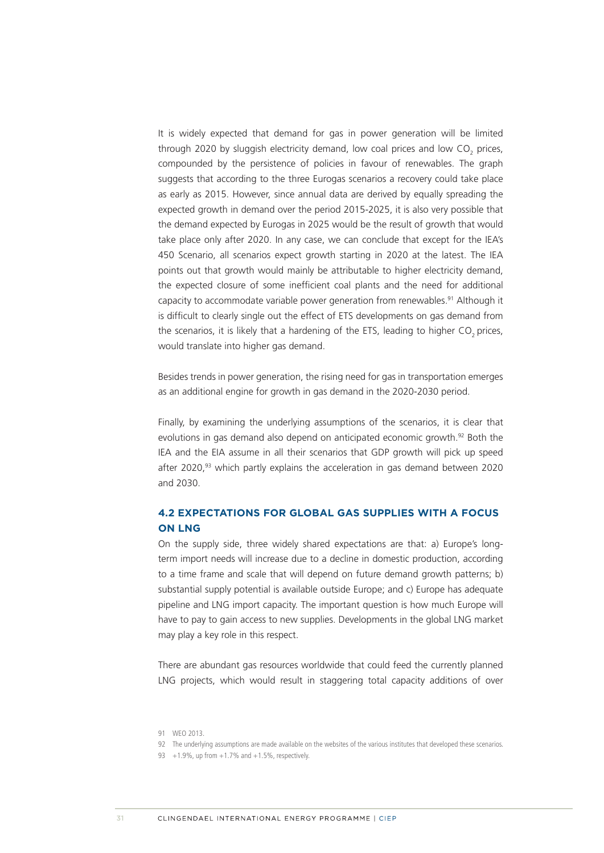<span id="page-26-0"></span>It is widely expected that demand for gas in power generation will be limited through 2020 by sluggish electricity demand, low coal prices and low CO<sub>2</sub> prices, compounded by the persistence of policies in favour of renewables. The graph suggests that according to the three Eurogas scenarios a recovery could take place as early as 2015. However, since annual data are derived by equally spreading the expected growth in demand over the period 2015-2025, it is also very possible that the demand expected by Eurogas in 2025 would be the result of growth that would take place only after 2020. In any case, we can conclude that except for the IEA's 450 Scenario, all scenarios expect growth starting in 2020 at the latest. The IEA points out that growth would mainly be attributable to higher electricity demand, the expected closure of some inefficient coal plants and the need for additional capacity to accommodate variable power generation from renewables.<sup>91</sup> Although it is difficult to clearly single out the effect of ETS developments on gas demand from the scenarios, it is likely that a hardening of the ETS, leading to higher CO<sub>2</sub> prices, would translate into higher gas demand.

Besides trends in power generation, the rising need for gas in transportation emerges as an additional engine for growth in gas demand in the 2020-2030 period.

Finally, by examining the underlying assumptions of the scenarios, it is clear that evolutions in gas demand also depend on anticipated economic growth.<sup>92</sup> Both the IEA and the EIA assume in all their scenarios that GDP growth will pick up speed after 2020,<sup>93</sup> which partly explains the acceleration in gas demand between 2020 and 2030.

#### **4.2 EXPECTATIONS FOR GLOBAL GAS SUPPLIES WITH A FOCUS ON LNG**

On the supply side, three widely shared expectations are that: a) Europe's longterm import needs will increase due to a decline in domestic production, according to a time frame and scale that will depend on future demand growth patterns; b) substantial supply potential is available outside Europe; and c) Europe has adequate pipeline and LNG import capacity. The important question is how much Europe will have to pay to gain access to new supplies. Developments in the global LNG market may play a key role in this respect.

There are abundant gas resources worldwide that could feed the currently planned LNG projects, which would result in staggering total capacity additions of over

<sup>91</sup> WEO 2013.

<sup>92</sup> The underlying assumptions are made available on the websites of the various institutes that developed these scenarios.

<sup>93 +1.9%,</sup> up from  $+1.7$ % and  $+1.5$ %, respectively.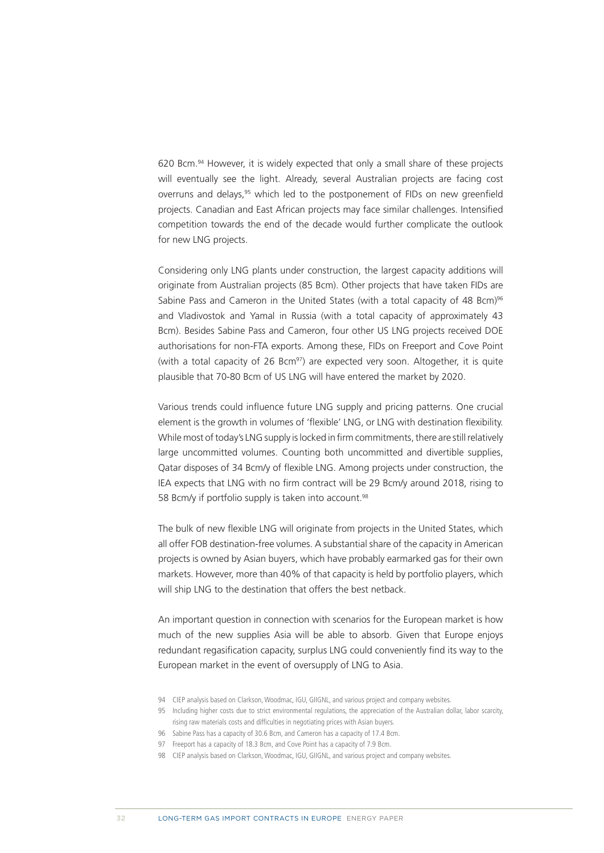620 Bcm.94 However, it is widely expected that only a small share of these projects will eventually see the light. Already, several Australian projects are facing cost overruns and delays,<sup>95</sup> which led to the postponement of FIDs on new greenfield projects. Canadian and East African projects may face similar challenges. Intensified competition towards the end of the decade would further complicate the outlook for new LNG projects.

Considering only LNG plants under construction, the largest capacity additions will originate from Australian projects (85 Bcm). Other projects that have taken FIDs are Sabine Pass and Cameron in the United States (with a total capacity of 48 Bcm)<sup>96</sup> and Vladivostok and Yamal in Russia (with a total capacity of approximately 43 Bcm). Besides Sabine Pass and Cameron, four other US LNG projects received DOE authorisations for non-FTA exports. Among these, FIDs on Freeport and Cove Point (with a total capacity of 26 Bcm $^{97}$ ) are expected very soon. Altogether, it is quite plausible that 70-80 Bcm of US LNG will have entered the market by 2020.

Various trends could influence future LNG supply and pricing patterns. One crucial element is the growth in volumes of 'flexible' LNG, or LNG with destination flexibility. While most of today's LNG supply is locked in firm commitments, there are still relatively large uncommitted volumes. Counting both uncommitted and divertible supplies, Qatar disposes of 34 Bcm/y of flexible LNG. Among projects under construction, the IEA expects that LNG with no firm contract will be 29 Bcm/y around 2018, rising to 58 Bcm/y if portfolio supply is taken into account.<sup>98</sup>

The bulk of new flexible LNG will originate from projects in the United States, which all offer FOB destination-free volumes. A substantial share of the capacity in American projects is owned by Asian buyers, which have probably earmarked gas for their own markets. However, more than 40% of that capacity is held by portfolio players, which will ship LNG to the destination that offers the best netback.

An important question in connection with scenarios for the European market is how much of the new supplies Asia will be able to absorb. Given that Europe enjoys redundant regasification capacity, surplus LNG could conveniently find its way to the European market in the event of oversupply of LNG to Asia.

- 94 CIEP analysis based on Clarkson, Woodmac, IGU, GIIGNL, and various project and company websites.
- 95 Including higher costs due to strict environmental regulations, the appreciation of the Australian dollar, labor scarcity, rising raw materials costs and difficulties in negotiating prices with Asian buyers.
- 96 Sabine Pass has a capacity of 30.6 Bcm, and Cameron has a capacity of 17.4 Bcm.
- 97 Freeport has a capacity of 18.3 Bcm, and Cove Point has a capacity of 7.9 Bcm.
- 98 CIEP analysis based on Clarkson, Woodmac, IGU, GIIGNL, and various project and company websites.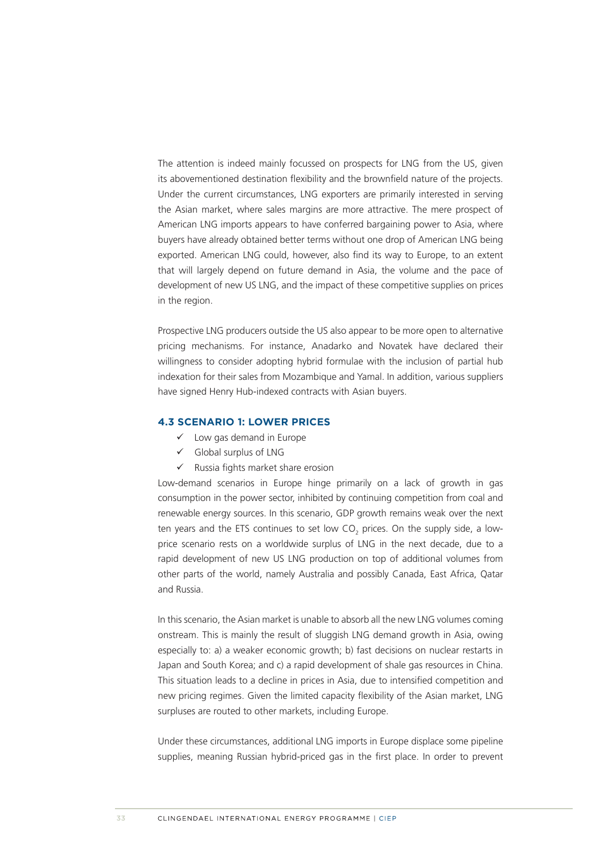<span id="page-28-0"></span>The attention is indeed mainly focussed on prospects for LNG from the US, given its abovementioned destination flexibility and the brownfield nature of the projects. Under the current circumstances, LNG exporters are primarily interested in serving the Asian market, where sales margins are more attractive. The mere prospect of American LNG imports appears to have conferred bargaining power to Asia, where buyers have already obtained better terms without one drop of American LNG being exported. American LNG could, however, also find its way to Europe, to an extent that will largely depend on future demand in Asia, the volume and the pace of development of new US LNG, and the impact of these competitive supplies on prices in the region.

Prospective LNG producers outside the US also appear to be more open to alternative pricing mechanisms. For instance, Anadarko and Novatek have declared their willingness to consider adopting hybrid formulae with the inclusion of partial hub indexation for their sales from Mozambique and Yamal. In addition, various suppliers have signed Henry Hub-indexed contracts with Asian buyers.

#### **4.3 SCENARIO 1: LOWER PRICES**

- $\checkmark$  Low gas demand in Europe
- $\checkmark$  Global surplus of LNG
- $\checkmark$  Russia fights market share erosion

Low-demand scenarios in Europe hinge primarily on a lack of growth in gas consumption in the power sector, inhibited by continuing competition from coal and renewable energy sources. In this scenario, GDP growth remains weak over the next ten years and the ETS continues to set low CO<sub>2</sub> prices. On the supply side, a lowprice scenario rests on a worldwide surplus of LNG in the next decade, due to a rapid development of new US LNG production on top of additional volumes from other parts of the world, namely Australia and possibly Canada, East Africa, Qatar and Russia.

In this scenario, the Asian market is unable to absorb all the new LNG volumes coming onstream. This is mainly the result of sluggish LNG demand growth in Asia, owing especially to: a) a weaker economic growth; b) fast decisions on nuclear restarts in Japan and South Korea; and c) a rapid development of shale gas resources in China. This situation leads to a decline in prices in Asia, due to intensified competition and new pricing regimes. Given the limited capacity flexibility of the Asian market, LNG surpluses are routed to other markets, including Europe.

Under these circumstances, additional LNG imports in Europe displace some pipeline supplies, meaning Russian hybrid-priced gas in the first place. In order to prevent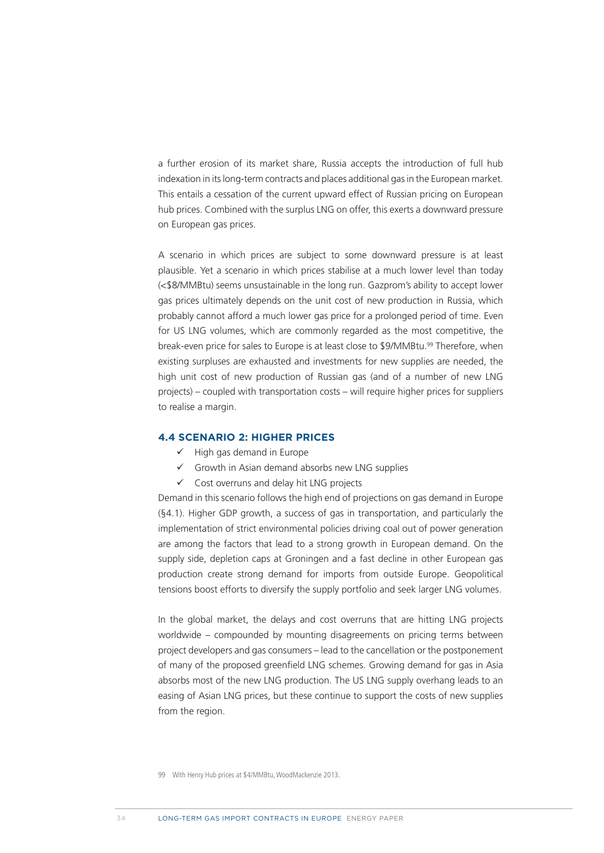<span id="page-29-0"></span>a further erosion of its market share, Russia accepts the introduction of full hub indexation in its long-term contracts and places additional gas in the European market. This entails a cessation of the current upward effect of Russian pricing on European hub prices. Combined with the surplus LNG on offer, this exerts a downward pressure on European gas prices.

A scenario in which prices are subject to some downward pressure is at least plausible. Yet a scenario in which prices stabilise at a much lower level than today (<\$8/MMBtu) seems unsustainable in the long run. Gazprom's ability to accept lower gas prices ultimately depends on the unit cost of new production in Russia, which probably cannot afford a much lower gas price for a prolonged period of time. Even for US LNG volumes, which are commonly regarded as the most competitive, the break-even price for sales to Europe is at least close to \$9/MMBtu.<sup>99</sup> Therefore, when existing surpluses are exhausted and investments for new supplies are needed, the high unit cost of new production of Russian gas (and of a number of new LNG projects) – coupled with transportation costs – will require higher prices for suppliers to realise a margin.

#### **4.4 SCENARIO 2: HIGHER PRICES**

- $\checkmark$  High gas demand in Europe
- $\checkmark$  Growth in Asian demand absorbs new LNG supplies
- $\checkmark$  Cost overruns and delay hit LNG projects

Demand in this scenario follows the high end of projections on gas demand in Europe (§4.1). Higher GDP growth, a success of gas in transportation, and particularly the implementation of strict environmental policies driving coal out of power generation are among the factors that lead to a strong growth in European demand. On the supply side, depletion caps at Groningen and a fast decline in other European gas production create strong demand for imports from outside Europe. Geopolitical tensions boost efforts to diversify the supply portfolio and seek larger LNG volumes.

In the global market, the delays and cost overruns that are hitting LNG projects worldwide – compounded by mounting disagreements on pricing terms between project developers and gas consumers – lead to the cancellation or the postponement of many of the proposed greenfield LNG schemes. Growing demand for gas in Asia absorbs most of the new LNG production. The US LNG supply overhang leads to an easing of Asian LNG prices, but these continue to support the costs of new supplies from the region.

<sup>99</sup> With Henry Hub prices at \$4/MMBtu, WoodMackenzie 2013.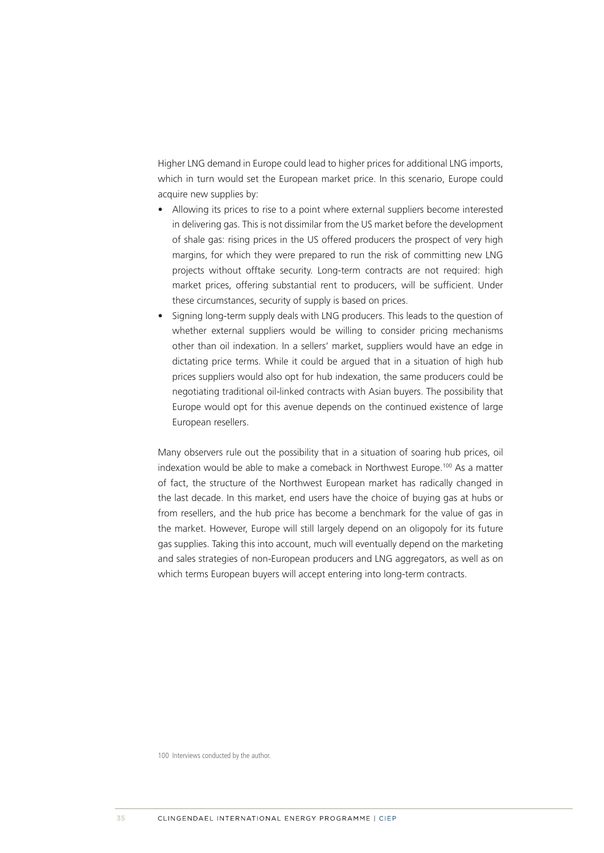Higher LNG demand in Europe could lead to higher prices for additional LNG imports, which in turn would set the European market price. In this scenario, Europe could acquire new supplies by:

- Allowing its prices to rise to a point where external suppliers become interested in delivering gas. This is not dissimilar from the US market before the development of shale gas: rising prices in the US offered producers the prospect of very high margins, for which they were prepared to run the risk of committing new LNG projects without offtake security. Long-term contracts are not required: high market prices, offering substantial rent to producers, will be sufficient. Under these circumstances, security of supply is based on prices.
- Signing long-term supply deals with LNG producers. This leads to the question of whether external suppliers would be willing to consider pricing mechanisms other than oil indexation. In a sellers' market, suppliers would have an edge in dictating price terms. While it could be argued that in a situation of high hub prices suppliers would also opt for hub indexation, the same producers could be negotiating traditional oil-linked contracts with Asian buyers. The possibility that Europe would opt for this avenue depends on the continued existence of large European resellers.

Many observers rule out the possibility that in a situation of soaring hub prices, oil indexation would be able to make a comeback in Northwest Europe.<sup>100</sup> As a matter of fact, the structure of the Northwest European market has radically changed in the last decade. In this market, end users have the choice of buying gas at hubs or from resellers, and the hub price has become a benchmark for the value of gas in the market. However, Europe will still largely depend on an oligopoly for its future gas supplies. Taking this into account, much will eventually depend on the marketing and sales strategies of non-European producers and LNG aggregators, as well as on which terms European buyers will accept entering into long-term contracts.

100 Interviews conducted by the author.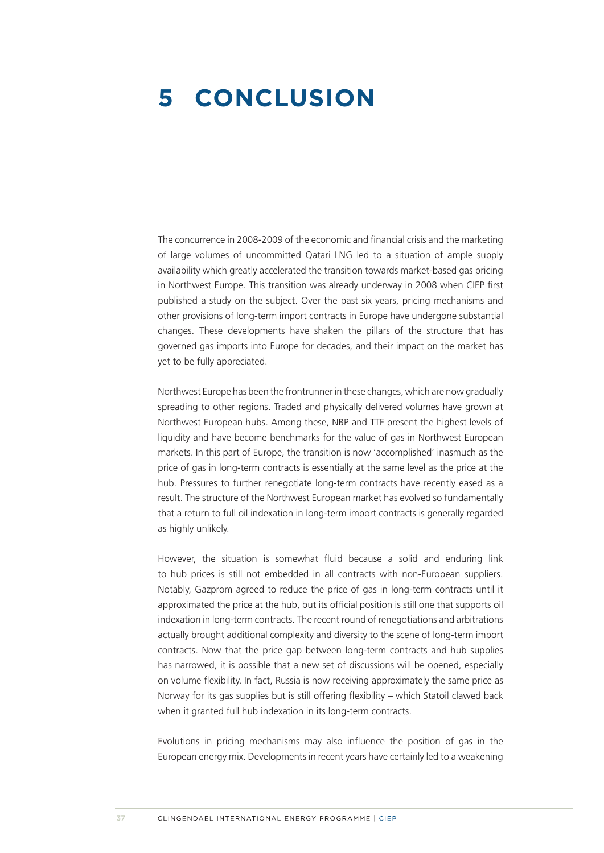### <span id="page-31-0"></span>**5 CONCLUSION**

The concurrence in 2008-2009 of the economic and financial crisis and the marketing of large volumes of uncommitted Qatari LNG led to a situation of ample supply availability which greatly accelerated the transition towards market-based gas pricing in Northwest Europe. This transition was already underway in 2008 when CIEP first published a study on the subject. Over the past six years, pricing mechanisms and other provisions of long-term import contracts in Europe have undergone substantial changes. These developments have shaken the pillars of the structure that has governed gas imports into Europe for decades, and their impact on the market has yet to be fully appreciated.

Northwest Europe has been the frontrunner in these changes, which are now gradually spreading to other regions. Traded and physically delivered volumes have grown at Northwest European hubs. Among these, NBP and TTF present the highest levels of liquidity and have become benchmarks for the value of gas in Northwest European markets. In this part of Europe, the transition is now 'accomplished' inasmuch as the price of gas in long-term contracts is essentially at the same level as the price at the hub. Pressures to further renegotiate long-term contracts have recently eased as a result. The structure of the Northwest European market has evolved so fundamentally that a return to full oil indexation in long-term import contracts is generally regarded as highly unlikely.

However, the situation is somewhat fluid because a solid and enduring link to hub prices is still not embedded in all contracts with non-European suppliers. Notably, Gazprom agreed to reduce the price of gas in long-term contracts until it approximated the price at the hub, but its official position is still one that supports oil indexation in long-term contracts. The recent round of renegotiations and arbitrations actually brought additional complexity and diversity to the scene of long-term import contracts. Now that the price gap between long-term contracts and hub supplies has narrowed, it is possible that a new set of discussions will be opened, especially on volume flexibility. In fact, Russia is now receiving approximately the same price as Norway for its gas supplies but is still offering flexibility – which Statoil clawed back when it granted full hub indexation in its long-term contracts.

Evolutions in pricing mechanisms may also influence the position of gas in the European energy mix. Developments in recent years have certainly led to a weakening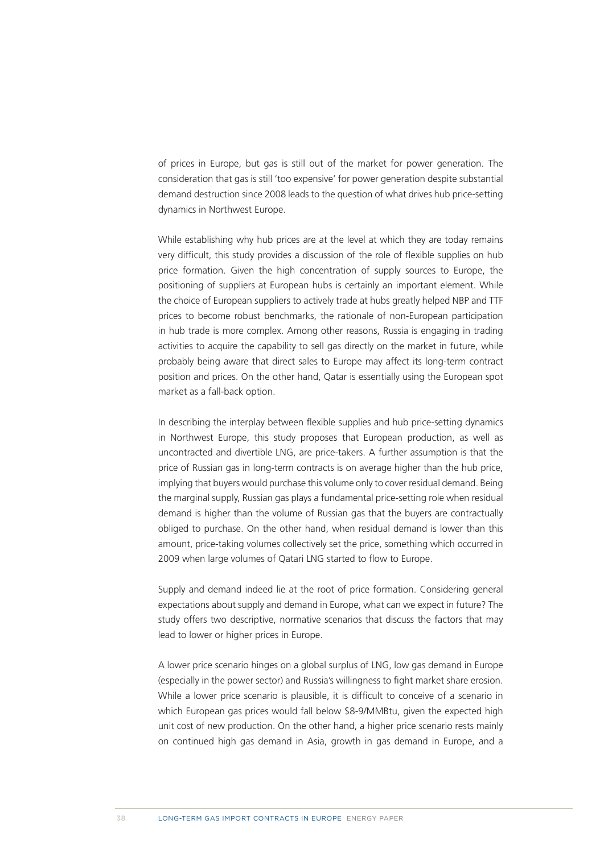of prices in Europe, but gas is still out of the market for power generation. The consideration that gas is still 'too expensive' for power generation despite substantial demand destruction since 2008 leads to the question of what drives hub price-setting dynamics in Northwest Europe.

While establishing why hub prices are at the level at which they are today remains very difficult, this study provides a discussion of the role of flexible supplies on hub price formation. Given the high concentration of supply sources to Europe, the positioning of suppliers at European hubs is certainly an important element. While the choice of European suppliers to actively trade at hubs greatly helped NBP and TTF prices to become robust benchmarks, the rationale of non-European participation in hub trade is more complex. Among other reasons, Russia is engaging in trading activities to acquire the capability to sell gas directly on the market in future, while probably being aware that direct sales to Europe may affect its long-term contract position and prices. On the other hand, Qatar is essentially using the European spot market as a fall-back option.

In describing the interplay between flexible supplies and hub price-setting dynamics in Northwest Europe, this study proposes that European production, as well as uncontracted and divertible LNG, are price-takers. A further assumption is that the price of Russian gas in long-term contracts is on average higher than the hub price, implying that buyers would purchase this volume only to cover residual demand. Being the marginal supply, Russian gas plays a fundamental price-setting role when residual demand is higher than the volume of Russian gas that the buyers are contractually obliged to purchase. On the other hand, when residual demand is lower than this amount, price-taking volumes collectively set the price, something which occurred in 2009 when large volumes of Qatari LNG started to flow to Europe.

Supply and demand indeed lie at the root of price formation. Considering general expectations about supply and demand in Europe, what can we expect in future? The study offers two descriptive, normative scenarios that discuss the factors that may lead to lower or higher prices in Europe.

A lower price scenario hinges on a global surplus of LNG, low gas demand in Europe (especially in the power sector) and Russia's willingness to fight market share erosion. While a lower price scenario is plausible, it is difficult to conceive of a scenario in which European gas prices would fall below \$8-9/MMBtu, given the expected high unit cost of new production. On the other hand, a higher price scenario rests mainly on continued high gas demand in Asia, growth in gas demand in Europe, and a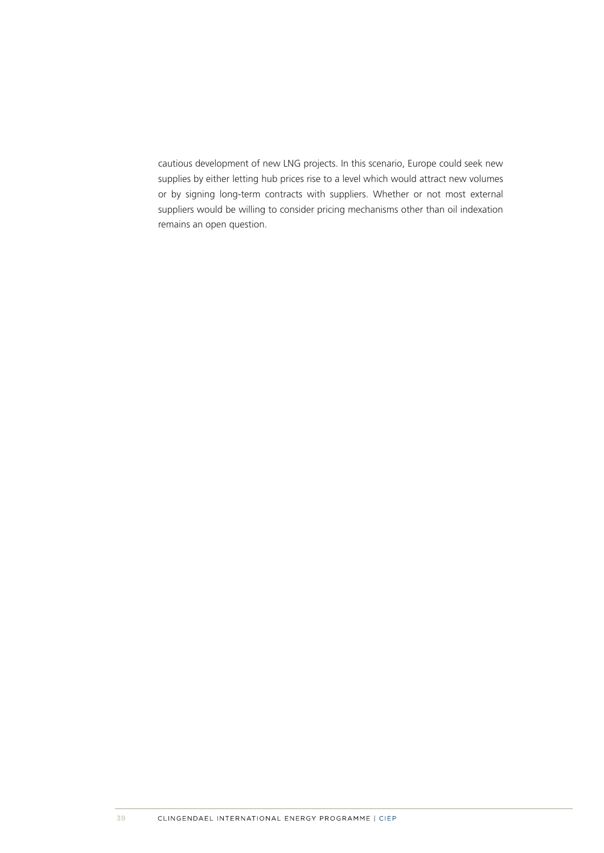cautious development of new LNG projects. In this scenario, Europe could seek new supplies by either letting hub prices rise to a level which would attract new volumes or by signing long-term contracts with suppliers. Whether or not most external suppliers would be willing to consider pricing mechanisms other than oil indexation remains an open question.